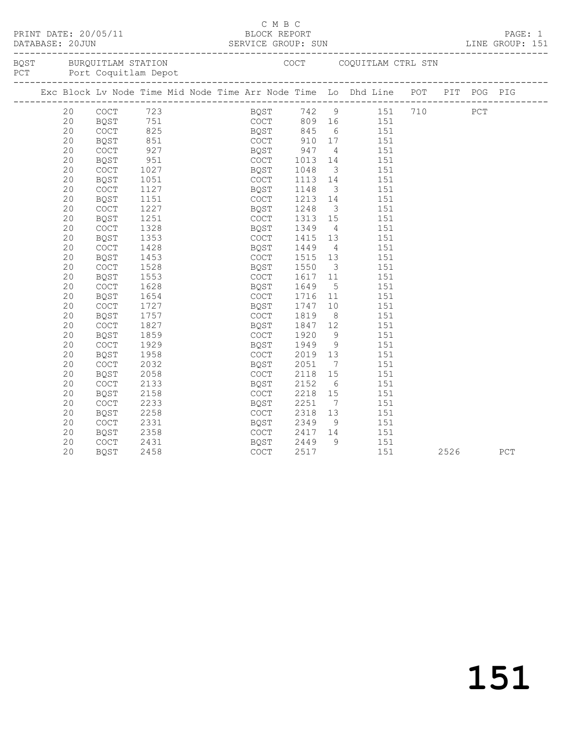|  | DATABASE: 20JUN | PRINT DATE: 20/05/11                                |                     |  | C M B C<br>BLOCK REPORT |                   |                         | DATABASE: 20JUN 1INE GROUP: SUN 1INE GROUP: SUN 1INE GROUP:                       |      | PAGE: 1<br>LINE GROUP: 151 |
|--|-----------------|-----------------------------------------------------|---------------------|--|-------------------------|-------------------|-------------------------|-----------------------------------------------------------------------------------|------|----------------------------|
|  |                 | BQST BURQUITLAM STATION<br>PCT Port Coquitlam Depot |                     |  |                         |                   |                         | COCT COQUITLAM CTRL STN                                                           |      |                            |
|  |                 |                                                     |                     |  |                         |                   |                         | Exc Block Lv Node Time Mid Node Time Arr Node Time Lo Dhd Line POT PIT POG PIG    |      |                            |
|  | 20              | COCT 723<br>BQST 751                                |                     |  |                         |                   |                         | BQST 742 9 151 710 PCT<br>COCT 809 16 151                                         |      |                            |
|  | 20              |                                                     |                     |  |                         |                   |                         |                                                                                   |      |                            |
|  | 20              | COCT                                                | $825$<br>851<br>927 |  |                         |                   |                         | BQST 845 6 151<br>COCT 910 17 151<br>6 151                                        |      |                            |
|  | 20              | BQST                                                |                     |  |                         |                   |                         |                                                                                   |      |                            |
|  | 20              | COCT                                                |                     |  | $BQST$ 947              |                   |                         | $\frac{1}{4}$ 151                                                                 |      |                            |
|  | 20              | BQST                                                | 951                 |  | COCT 1013<br>BOST 1048  |                   |                         | 14   151                                                                          |      |                            |
|  | 20              | COCT                                                | 1027<br>1051        |  |                         |                   | $\overline{\mathbf{3}}$ | 151                                                                               |      |                            |
|  | 20              | BQST                                                |                     |  | COCT                    |                   |                         | 1113 14 151                                                                       |      |                            |
|  | 20              | COCT                                                | 1127                |  | BQST                    | 1148              |                         | $\begin{array}{cccc} 1148 & & 3 & & 151 \\ 1213 & & 14 & & 151 \end{array}$       |      |                            |
|  | 20              | <b>BQST</b>                                         | 1151                |  | COCT                    |                   |                         |                                                                                   |      |                            |
|  | 20              | COCT                                                | 1227                |  | BQST                    | 1248              |                         | 3 151                                                                             |      |                            |
|  | 20              | BQST                                                | 1251                |  | COCT                    | 1313              |                         | $15$ $151$                                                                        |      |                            |
|  | 20              | COCT                                                | 1328                |  | BQST                    | 1349              | $4\overline{4}$         | 151                                                                               |      |                            |
|  | 20              | <b>BOST</b>                                         | 1353                |  | COCT                    | 1415              |                         | 13 151                                                                            |      |                            |
|  | 20              | COCT                                                | 1428                |  | BQST                    | 1449              |                         | $\begin{array}{cc} 4 & 151 \\ 13 & 151 \end{array}$                               |      |                            |
|  | 20              | BQST                                                | 1453                |  | COCT                    | 1515              |                         |                                                                                   |      |                            |
|  | 20              | COCT                                                | 1528                |  | BQST                    | 1550              |                         | 3 151                                                                             |      |                            |
|  | 20              | <b>BQST</b>                                         | 1553                |  | COCT                    | 1617 11<br>1649 5 |                         | 151                                                                               |      |                            |
|  | 20              | COCT                                                | 1628                |  | BQST                    |                   |                         | 151                                                                               |      |                            |
|  | 20              | <b>BQST</b>                                         | 1654                |  | COCT                    | 1716              |                         | 11 151                                                                            |      |                            |
|  | 20              | COCT                                                | 1727                |  | BQST                    | 1747<br>1819      |                         | $\begin{array}{cc} 10 & \hspace{1.5mm} 151 \\ 8 & \hspace{1.5mm} 151 \end{array}$ |      |                            |
|  | 20              | BQST                                                | 1757                |  | COCT                    |                   |                         |                                                                                   |      |                            |
|  | 20              | COCT                                                | 1827                |  | BQST                    | 1847              |                         | 12   151                                                                          |      |                            |
|  | 20              | <b>BQST</b>                                         | 1859                |  | COCT                    | 1920              | 9                       | 151                                                                               |      |                            |
|  | 20              | COCT                                                | 1929                |  | BQST                    | 1949              |                         | $\frac{151}{9}$                                                                   |      |                            |
|  | 20              | BQST                                                | 1958                |  | COCT                    | 2019              |                         | 13 151                                                                            |      |                            |
|  | 20              | COCT                                                | 2032                |  | BQST                    | 2051              | $7\overline{ }$         | 151                                                                               |      |                            |
|  | 20              | <b>BQST</b>                                         | 2058                |  | COCT                    | 2118              | 15                      | 151                                                                               |      |                            |
|  | 20              | COCT                                                | 2133                |  | BQST                    | 2152              |                         | 6 151                                                                             |      |                            |
|  | 20              | <b>BQST</b>                                         | 2158                |  | COCT                    | 2218              | 15                      | 151                                                                               |      |                            |
|  | 20              | <b>COCT</b>                                         | 2233                |  | BQST                    | 2251              |                         | 7 151                                                                             |      |                            |
|  | 20              | BQST                                                | 2258                |  | COCT                    |                   |                         | $13 \t\t 151$                                                                     |      |                            |
|  | 20              | COCT                                                | 2331                |  | BQST                    | 2318<br>2349      | 9                       | 151                                                                               |      |                            |
|  | 20              | BQST                                                | 2358                |  | COCT                    |                   |                         | 2417 14 151                                                                       |      |                            |
|  | 20              | COCT                                                | 2431                |  | BQST                    | 2449<br>2517      |                         | 9 151                                                                             |      |                            |
|  | 20              | BQST                                                | 2458                |  | COCT                    |                   |                         | 151                                                                               | 2526 | PCT                        |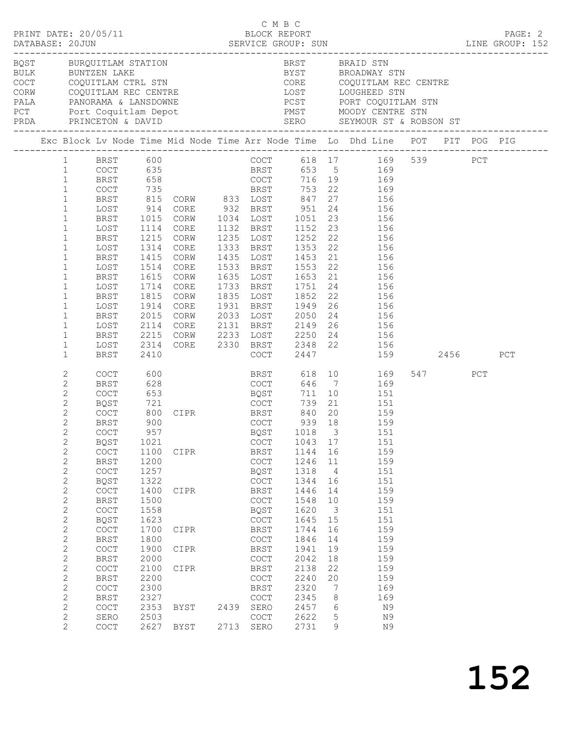| DATABASE: 20JUN                                                                                                                                                                                                                                                                                                                                                                                                                                                                                                                                                                                                                                                                          |           | PRINT DATE: 20/05/11                                                                                                                                                                                                                                                                                                                                                                                                                                                                             |                                                                                                                                                                                                                                                                                               |                                                                                                                                                                                                |              | C M B C<br>BLOCK REPORT                                                                                                                                                                                                                                                             |                                                                                                                                                                |                                                                                                                                                  | DATABASE: 20JUN SERVICE GROUP: SUN<br>DATABASE: 20JUN SERVICE GROUP: SUN LINE GROUP: 152                                                                                                                                                                                                                                                                                                                                                                                                                                                                                                                                                                                                                                             |     |     | PAGE: 2 |
|------------------------------------------------------------------------------------------------------------------------------------------------------------------------------------------------------------------------------------------------------------------------------------------------------------------------------------------------------------------------------------------------------------------------------------------------------------------------------------------------------------------------------------------------------------------------------------------------------------------------------------------------------------------------------------------|-----------|--------------------------------------------------------------------------------------------------------------------------------------------------------------------------------------------------------------------------------------------------------------------------------------------------------------------------------------------------------------------------------------------------------------------------------------------------------------------------------------------------|-----------------------------------------------------------------------------------------------------------------------------------------------------------------------------------------------------------------------------------------------------------------------------------------------|------------------------------------------------------------------------------------------------------------------------------------------------------------------------------------------------|--------------|-------------------------------------------------------------------------------------------------------------------------------------------------------------------------------------------------------------------------------------------------------------------------------------|----------------------------------------------------------------------------------------------------------------------------------------------------------------|--------------------------------------------------------------------------------------------------------------------------------------------------|--------------------------------------------------------------------------------------------------------------------------------------------------------------------------------------------------------------------------------------------------------------------------------------------------------------------------------------------------------------------------------------------------------------------------------------------------------------------------------------------------------------------------------------------------------------------------------------------------------------------------------------------------------------------------------------------------------------------------------------|-----|-----|---------|
|                                                                                                                                                                                                                                                                                                                                                                                                                                                                                                                                                                                                                                                                                          |           |                                                                                                                                                                                                                                                                                                                                                                                                                                                                                                  |                                                                                                                                                                                                                                                                                               |                                                                                                                                                                                                |              |                                                                                                                                                                                                                                                                                     |                                                                                                                                                                |                                                                                                                                                  | PCT Port Coquitlam Depot PMST MOODY CENTRE STN                                                                                                                                                                                                                                                                                                                                                                                                                                                                                                                                                                                                                                                                                       |     |     |         |
|                                                                                                                                                                                                                                                                                                                                                                                                                                                                                                                                                                                                                                                                                          |           |                                                                                                                                                                                                                                                                                                                                                                                                                                                                                                  |                                                                                                                                                                                                                                                                                               |                                                                                                                                                                                                |              |                                                                                                                                                                                                                                                                                     |                                                                                                                                                                |                                                                                                                                                  | Exc Block Lv Node Time Mid Node Time Arr Node Time Lo Dhd Line POT PIT POG PIG                                                                                                                                                                                                                                                                                                                                                                                                                                                                                                                                                                                                                                                       |     |     |         |
| $\mathbf{1}$<br>$\mathbf{1}$<br>$\mathbf{1}$<br>$\mathbf{1}$<br>$\mathbf{1}$<br>$\mathbf{1}$<br>$\mathbf{1}$<br>$\mathbf{1}$<br>$\mathbf{1}$<br>$\mathbf{1}$<br>$\mathbf{1}$<br>$\mathbf{1}$<br>$\mathbf{1}$<br>$\mathbf{1}$<br>$\mathbf{1}$<br>$\mathbf{1}$<br>$\mathbf{1}$<br>$\mathbf{1}$<br>$\mathbf{1}$<br>$\mathbf{1}$<br>$\mathbf{2}$<br>2<br>$\mathbf{2}$<br>2<br>$\mathbf{2}$<br>$\mathbf{2}$<br>$\overline{2}$<br>$\mathbf{2}$<br>$\mathbf{2}$<br>$\mathbf{2}$<br>$\mathbf{2}$<br>$\mathbf{2}$<br>$\mathbf{2}$<br>$\mathbf{2}$<br>$\mathbf{2}$<br>$\mathbf{2}$<br>$\mathbf{2}$<br>$\mathbf{2}$<br>$\mathbf{2}$<br>$\mathbf{2}$<br>$\mathbf{2}$<br>$\mathbf{2}$<br>$\mathbf{2}$ | $1 \quad$ | BRST<br>LOST<br>BRST<br>LOST<br>BRST<br>LOST<br>BRST<br>LOST<br>BRST<br>LOST<br>BRST<br>LOST<br>BRST<br>LOST<br><b>BRST</b><br>LOST<br>BRST<br>COCT<br><b>BRST</b><br>COCT<br>BQST<br>COCT<br>BRST<br>COCT<br>BQST<br>COCT<br><b>BRST</b><br>$\operatorname{COT}$<br><b>BQST</b><br>COCT<br><b>BRST</b><br>COCT<br><b>BQST</b><br>COCT<br><b>BRST</b><br>$\mathtt{C}\mathtt{O}\mathtt{C}\mathtt{T}$<br>BRST<br>$\mathtt{C}\mathtt{O}\mathtt{C}\mathtt{T}$<br><b>BRST</b><br>$\operatorname{COT}$ | 1114<br>1215<br>1314<br>1415<br>1514<br>1615<br>1714<br>1815<br>1914<br>2015<br>2114<br>2215<br>2314<br>2410<br>600<br>628<br>653<br>721<br>800<br>900<br>957<br>1021<br>1100<br>1200<br>1257<br>1322<br>1400<br>1500<br>1558<br>1623<br>1700<br>1800<br>1900<br>2000<br>2100<br>2200<br>2300 | CORE<br>CORW<br>CORE<br>CORW<br>CORE<br>CORW<br>CORE<br>CORW<br>CORE<br>CORW<br>CORE<br>CORW<br>CORE<br><b>BQST</b><br>CIPR BRST 840 20<br>COCT 939 18<br>CIPR<br>CIPR<br>CIPR<br>CIPR<br>CIPR |              | 1235 LOST<br>1635 LOST<br>1733 BRST<br>1835 LOST<br>COCT<br>COCT<br>COCT<br><b>BRST</b><br>COCT<br>BQST<br>COCT<br>BRST<br>COCT<br>BQST<br>COCT<br>BRST<br>$\mathtt{C}\mathtt{O}\mathtt{C}\mathtt{T}$<br>BRST<br>COCT<br>BRST<br>$\mathtt{C}\mathtt{O}\mathtt{C}\mathtt{T}$<br>BRST | 1751<br>1852 22<br>2447<br>739<br>1043<br>1144<br>1246<br>1318<br>1344<br>1446<br>1548<br>1620<br>1645<br>1744<br>1846<br>1941<br>2042<br>2138<br>2240<br>2320 | 20<br>17<br>16<br>11<br>$\overline{4}$<br>16<br>14<br>10<br>$\overline{\mathbf{3}}$<br>15<br>16<br>14<br>19<br>18<br>22<br>20<br>$7\phantom{.0}$ | BRST 600 COCT 618 17 169 539 PCT<br>COCT 635 BRST 653 5 169<br>BRST 658 COCT 716 19 169<br>COCT 735 BRST 753 22 169<br>815 CORW 833 LOST 847 27 156<br>914 CORE 932 BRST 951 24 156<br>1015 CORW 1034 LOST 1051 23 156<br>1132 BRST 1152 23 156<br>1252  22  156<br>1333 BRST 1353 22 156<br>1435 LOST 1453 21 156<br>1533 BRST 1553 22 156<br>1653 21 156<br>$24$ 156<br>156<br>1931 BRST 1949 26 156<br>2033 LOST 2050 24 156<br>2131 BRST 2149 26 156<br>2233 LOST 2250 24 156<br>2330 BRST 2348 22 156<br>159 2456<br>BRST 618 10 169<br>COCT 646 7 169<br>711 10 151<br>21 151<br>159<br>159<br>BQST 1018 3 151<br>151<br>159<br>159<br>151<br>151<br>159<br>159<br>151<br>151<br>159<br>159<br>159<br>159<br>159<br>159<br>169 | 547 | PCT | PCT     |
| $\mathbf{2}$<br>2<br>$\mathbf{2}$<br>2                                                                                                                                                                                                                                                                                                                                                                                                                                                                                                                                                                                                                                                   |           | <b>BRST</b><br>COCT<br>SERO<br>COCT                                                                                                                                                                                                                                                                                                                                                                                                                                                              | 2327<br>2353<br>2503<br>2627                                                                                                                                                                                                                                                                  | BYST<br><b>BYST</b>                                                                                                                                                                            | 2439<br>2713 | COCT<br>SERO<br>COCT<br>SERO                                                                                                                                                                                                                                                        | 2345<br>2457<br>2622<br>2731                                                                                                                                   | 8<br>6<br>5<br>9                                                                                                                                 | 169<br>N9<br>N9<br>N9                                                                                                                                                                                                                                                                                                                                                                                                                                                                                                                                                                                                                                                                                                                |     |     |         |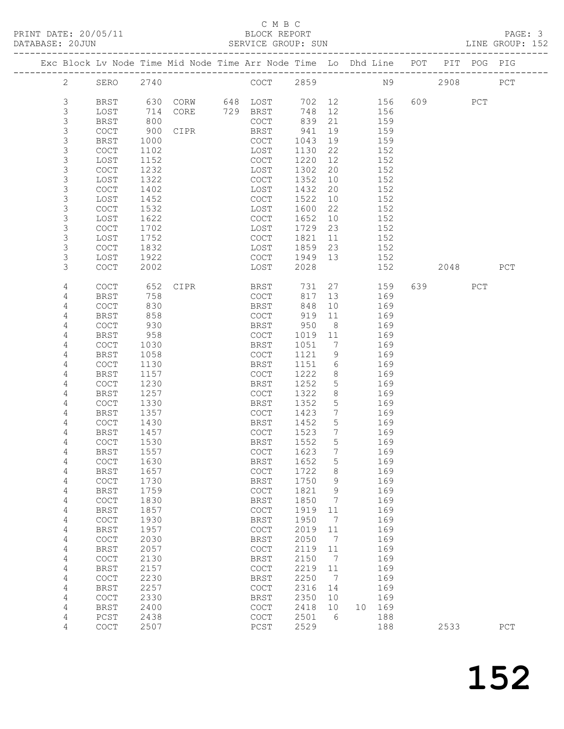#### C M B C<br>BLOCK REPORT SERVICE GROUP: SUN

|             |                                            |      |      |             |        |                 | Exc Block Lv Node Time Mid Node Time Arr Node Time Lo Dhd Line POT PIT POG PIG<br>------------------------- |     |           |     |     |
|-------------|--------------------------------------------|------|------|-------------|--------|-----------------|-------------------------------------------------------------------------------------------------------------|-----|-----------|-----|-----|
| 2           | SERO                                       | 2740 |      | COCT        | 2859   |                 | N9                                                                                                          |     | 2908      |     | PCT |
| 3           | BRST                                       | 630  |      |             | 702 12 |                 | 156                                                                                                         |     | 609 — 100 | PCT |     |
| $\mathsf S$ | LOST                                       | 714  |      |             | 748    | 12              | 156                                                                                                         |     |           |     |     |
| 3           | <b>BRST</b>                                | 800  |      | COCT        | 839    | 21              | 159                                                                                                         |     |           |     |     |
| $\mathsf S$ | COCT                                       | 900  | CIPR | BRST        | 941    | 19              | 159                                                                                                         |     |           |     |     |
| 3           | BRST                                       | 1000 |      | COCT        | 1043   | 19              | 159                                                                                                         |     |           |     |     |
| $\mathsf S$ | COCT                                       | 1102 |      | LOST        | 1130   | 22              | 152                                                                                                         |     |           |     |     |
| 3           | LOST                                       | 1152 |      | COCT        | 1220   | 12              | 152                                                                                                         |     |           |     |     |
| $\mathsf S$ | COCT                                       | 1232 |      | LOST        | 1302   | 20              | 152                                                                                                         |     |           |     |     |
| 3           | LOST                                       | 1322 |      | COCT        | 1352   | 10              | 152                                                                                                         |     |           |     |     |
| $\mathsf S$ | COCT                                       | 1402 |      | LOST        | 1432   | 20              | 152                                                                                                         |     |           |     |     |
| 3           | LOST                                       | 1452 |      | COCT        | 1522   | 10              | 152                                                                                                         |     |           |     |     |
| 3           |                                            |      |      |             |        | 22              |                                                                                                             |     |           |     |     |
|             | COCT                                       | 1532 |      | LOST        | 1600   |                 | 152                                                                                                         |     |           |     |     |
| 3           | LOST                                       | 1622 |      | COCT        | 1652   | 10 <sup>°</sup> | 152                                                                                                         |     |           |     |     |
| $\mathsf S$ | <b>COCT</b>                                | 1702 |      | LOST        | 1729   | 23              | 152                                                                                                         |     |           |     |     |
| $\mathsf S$ | LOST                                       | 1752 |      | COCT        | 1821   | 11              | 152                                                                                                         |     |           |     |     |
| $\mathsf S$ | <b>COCT</b>                                | 1832 |      | LOST        | 1859   | 23              | 152                                                                                                         |     |           |     |     |
| 3           | LOST                                       | 1922 |      | COCT        | 1949   | 13              | 152                                                                                                         |     |           |     |     |
| 3           | COCT                                       | 2002 |      | LOST        | 2028   |                 | 152                                                                                                         |     | 2048      |     | PCT |
| 4           | <b>COCT</b>                                | 652  | CIPR | BRST        | 731    | 27              | 159                                                                                                         | 639 |           | PCT |     |
| 4           | BRST                                       | 758  |      | COCT        | 817    | 13              | 169                                                                                                         |     |           |     |     |
| 4           | <b>COCT</b>                                | 830  |      | BRST        | 848    | 10              | 169                                                                                                         |     |           |     |     |
| 4           | BRST                                       | 858  |      | COCT        | 919    | 11              | 169                                                                                                         |     |           |     |     |
| 4           | COCT                                       | 930  |      | BRST        | 950    | 8 <sup>8</sup>  | 169                                                                                                         |     |           |     |     |
| 4           | BRST                                       | 958  |      | COCT        | 1019   | 11              | 169                                                                                                         |     |           |     |     |
| 4           | COCT                                       | 1030 |      | BRST        | 1051   | 7               | 169                                                                                                         |     |           |     |     |
| 4           | <b>BRST</b>                                | 1058 |      | COCT        | 1121   | 9               | 169                                                                                                         |     |           |     |     |
| 4           | COCT                                       | 1130 |      | BRST        | 1151   | 6               | 169                                                                                                         |     |           |     |     |
| 4           | <b>BRST</b>                                | 1157 |      | COCT        | 1222   | 8               | 169                                                                                                         |     |           |     |     |
| 4           | COCT                                       | 1230 |      | BRST        | 1252   | $5\phantom{.0}$ | 169                                                                                                         |     |           |     |     |
| 4           | <b>BRST</b>                                | 1257 |      | COCT        | 1322   | 8               | 169                                                                                                         |     |           |     |     |
| 4           | COCT                                       | 1330 |      | BRST        | 1352   | 5               | 169                                                                                                         |     |           |     |     |
| 4           | <b>BRST</b>                                | 1357 |      | COCT        | 1423   | $7\phantom{.0}$ | 169                                                                                                         |     |           |     |     |
| 4           | COCT                                       | 1430 |      | BRST        | 1452   | 5               | 169                                                                                                         |     |           |     |     |
| 4           | BRST                                       | 1457 |      | COCT        | 1523   | $7\phantom{.0}$ | 169                                                                                                         |     |           |     |     |
| 4           | COCT                                       | 1530 |      | BRST        | 1552   | 5               | 169                                                                                                         |     |           |     |     |
| 4           | BRST                                       | 1557 |      | COCT        | 1623   | $7^{\circ}$     | 169                                                                                                         |     |           |     |     |
| 4           | COCT                                       | 1630 |      | BRST        | 1652   | $5\overline{)}$ | 169                                                                                                         |     |           |     |     |
| 4           | <b>BRST</b>                                | 1657 |      | COCT        | 1722   | 8               | 169                                                                                                         |     |           |     |     |
| 4           | $\mathtt{C}\mathtt{O}\mathtt{C}\mathtt{T}$ | 1730 |      | <b>BRST</b> | 1750   | 9               | 169                                                                                                         |     |           |     |     |
| 4           | <b>BRST</b>                                | 1759 |      | COCT        | 1821   | 9               | 169                                                                                                         |     |           |     |     |
| 4           | $\mathtt{C}\mathtt{O}\mathtt{C}\mathtt{T}$ | 1830 |      | <b>BRST</b> | 1850   | 7               | 169                                                                                                         |     |           |     |     |
| 4           | <b>BRST</b>                                | 1857 |      | COCT        | 1919   | 11              | 169                                                                                                         |     |           |     |     |
| 4           | $\mathtt{C}\mathtt{O}\mathtt{C}\mathtt{T}$ | 1930 |      | <b>BRST</b> | 1950   | 7               | 169                                                                                                         |     |           |     |     |
| 4           | <b>BRST</b>                                | 1957 |      | COCT        | 2019   | 11              | 169                                                                                                         |     |           |     |     |
| 4           | $\mathtt{C}\mathtt{O}\mathtt{C}\mathtt{T}$ | 2030 |      | <b>BRST</b> | 2050   | 7               | 169                                                                                                         |     |           |     |     |
| 4           | <b>BRST</b>                                | 2057 |      | COCT        | 2119   | 11              | 169                                                                                                         |     |           |     |     |
| 4           | COCT                                       | 2130 |      | <b>BRST</b> | 2150   | 7               | 169                                                                                                         |     |           |     |     |
| 4           | <b>BRST</b>                                | 2157 |      | COCT        | 2219   | 11              | 169                                                                                                         |     |           |     |     |
| 4           | $\mathtt{C}\mathtt{O}\mathtt{C}\mathtt{T}$ | 2230 |      | <b>BRST</b> | 2250   | 7               | 169                                                                                                         |     |           |     |     |
| 4           | <b>BRST</b>                                | 2257 |      | COCT        | 2316   | 14              | 169                                                                                                         |     |           |     |     |
| 4           | COCT                                       | 2330 |      | <b>BRST</b> | 2350   | 10              | 169                                                                                                         |     |           |     |     |

 4 BRST 2400 COCT 2418 10 10 169 4 PCST 2438 COCT 2501 6 188

4 COCT 2507 PCST 2529 188 2533 PCT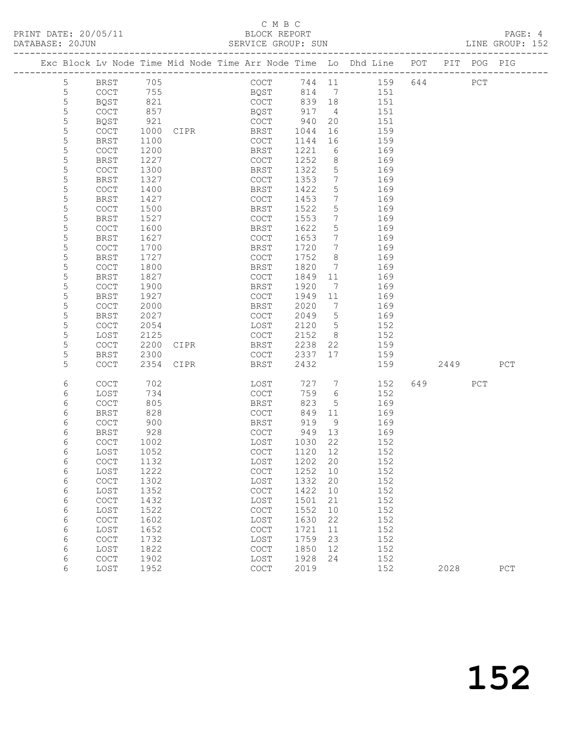|                |                                            |              |      | Exc Block Lv Node Time Mid Node Time Arr Node Time Lo Dhd Line POT PIT POG PIG |              |                              |            |     |      |     |     |
|----------------|--------------------------------------------|--------------|------|--------------------------------------------------------------------------------|--------------|------------------------------|------------|-----|------|-----|-----|
| $5\phantom{.}$ | BRST                                       | 705          |      | COCT                                                                           | 744 11       |                              | 159        | 644 |      | PCT |     |
| 5              | $\mathtt{C}\mathtt{O}\mathtt{C}\mathtt{T}$ | 755          |      | BQST                                                                           | 814 7        |                              | 151        |     |      |     |     |
| $\mathsf S$    | BQST                                       | 821          |      | COCT                                                                           | 839          | 18                           | 151        |     |      |     |     |
| 5              | COCT                                       | 857          |      | BQST                                                                           | 917          | $\overline{4}$               | 151        |     |      |     |     |
| 5              | BQST                                       | 921          |      | COCT                                                                           | 940          | 20                           | 151        |     |      |     |     |
| 5              | COCT                                       | 1000         | CIPR | BRST                                                                           | 1044         | 16                           | 159        |     |      |     |     |
| $\mathsf S$    | <b>BRST</b>                                | 1100         |      | COCT                                                                           | 1144         | 16                           | 159        |     |      |     |     |
| $\mathsf S$    | COCT                                       | 1200         |      | BRST                                                                           | 1221         | 6                            | 169        |     |      |     |     |
| 5              | <b>BRST</b>                                | 1227         |      | <b>COCT</b>                                                                    | 1252         | 8                            | 169        |     |      |     |     |
| 5              | COCT                                       | 1300         |      | BRST                                                                           | 1322         | 5                            | 169        |     |      |     |     |
| $\mathsf S$    | <b>BRST</b>                                | 1327         |      | COCT                                                                           | 1353         | $7\phantom{.0}$              | 169        |     |      |     |     |
| 5              | COCT                                       | 1400         |      | <b>BRST</b>                                                                    | 1422         | 5                            | 169        |     |      |     |     |
| 5              | BRST                                       | 1427         |      | <b>COCT</b>                                                                    | 1453         | $7\phantom{.0}$              | 169        |     |      |     |     |
| 5              | COCT                                       | 1500         |      | BRST                                                                           | 1522         | 5                            | 169        |     |      |     |     |
| 5              | <b>BRST</b>                                | 1527         |      | COCT                                                                           | 1553         | $7\phantom{.0}$              | 169        |     |      |     |     |
| 5              | COCT                                       | 1600         |      | BRST                                                                           | 1622         | 5                            | 169        |     |      |     |     |
| 5              | <b>BRST</b>                                | 1627         |      | COCT                                                                           | 1653         | $7\phantom{.0}$              | 169        |     |      |     |     |
| 5<br>5         | COCT                                       | 1700         |      | BRST                                                                           | 1720         | $7^{\circ}$                  | 169        |     |      |     |     |
| 5              | <b>BRST</b>                                | 1727         |      | COCT                                                                           | 1752         | 8<br>$7\phantom{.0}$         | 169        |     |      |     |     |
| 5              | COCT<br><b>BRST</b>                        | 1800<br>1827 |      | BRST                                                                           | 1820<br>1849 |                              | 169        |     |      |     |     |
| 5              | COCT                                       | 1900         |      | COCT<br>BRST                                                                   | 1920         | 11<br>7                      | 169<br>169 |     |      |     |     |
| 5              | <b>BRST</b>                                | 1927         |      | COCT                                                                           | 1949         | 11                           | 169        |     |      |     |     |
| 5              | COCT                                       | 2000         |      | BRST                                                                           | 2020         | $7\phantom{.0}\phantom{.0}7$ | 169        |     |      |     |     |
| 5              | BRST                                       | 2027         |      | COCT                                                                           | 2049         | 5                            | 169        |     |      |     |     |
| 5              | COCT                                       | 2054         |      | LOST                                                                           | 2120         | $5\overline{)}$              | 152        |     |      |     |     |
| 5              | LOST                                       | 2125         |      | COCT                                                                           | 2152         | 8 <sup>8</sup>               | 152        |     |      |     |     |
| 5              | COCT                                       | 2200         | CIPR | BRST                                                                           | 2238         | 22                           | 159        |     |      |     |     |
| 5              | <b>BRST</b>                                | 2300         |      | COCT                                                                           | 2337         | 17                           | 159        |     |      |     |     |
| 5              | <b>COCT</b>                                | 2354         | CIPR | BRST                                                                           | 2432         |                              | 159        |     | 2449 |     | PCT |
|                |                                            |              |      |                                                                                |              |                              |            |     |      |     |     |
| 6              | <b>COCT</b>                                | 702          |      | LOST                                                                           | 727          | $7\phantom{.0}$              | 152        | 649 |      | PCT |     |
| 6              | LOST                                       | 734          |      | COCT                                                                           | 759          | 6                            | 152        |     |      |     |     |
| 6              | <b>COCT</b>                                | 805          |      | BRST                                                                           | 823          | 5                            | 169        |     |      |     |     |
| 6              | <b>BRST</b>                                | 828          |      | COCT                                                                           | 849          | 11                           | 169        |     |      |     |     |
| 6              | COCT                                       | 900          |      | BRST                                                                           | 919          | 9                            | 169        |     |      |     |     |
| 6              | BRST                                       | 928          |      | COCT                                                                           | 949          | 13                           | 169        |     |      |     |     |
| 6              | COCT                                       | 1002         |      | LOST                                                                           | 1030         | 22                           | 152        |     |      |     |     |
| 6              | LOST                                       | 1052         |      | COCT                                                                           | 1120         | 12                           | 152        |     |      |     |     |
| $\epsilon$     | COCT                                       | 1132         |      | LOST 1202 20                                                                   |              |                              | 152        |     |      |     |     |
| 6              | LOST<br>$\operatorname{COT}$               | 1222<br>1302 |      | $_{\mathrm{COT}}$<br>LOST                                                      | 1252<br>1332 | 10<br>20                     | 152<br>152 |     |      |     |     |
| 6<br>6         | LOST                                       | 1352         |      | COCT                                                                           | 1422         | 10                           | 152        |     |      |     |     |
| 6              | $\mathtt{C}\mathtt{O}\mathtt{C}\mathtt{T}$ | 1432         |      | LOST                                                                           | 1501         | 21                           | 152        |     |      |     |     |
| 6              | LOST                                       | 1522         |      | $\mathtt{C}\mathtt{O}\mathtt{C}\mathtt{T}$                                     | 1552         | 10                           | 152        |     |      |     |     |
| 6              | $\operatorname{COT}$                       | 1602         |      | LOST                                                                           | 1630         | 22                           | 152        |     |      |     |     |
| 6              | LOST                                       | 1652         |      | $\mathtt{C}\mathtt{O}\mathtt{C}\mathtt{T}$                                     | 1721         | 11                           | 152        |     |      |     |     |
| 6              | COCT                                       | 1732         |      | LOST                                                                           | 1759         | 23                           | 152        |     |      |     |     |
| 6              | LOST                                       | 1822         |      | $\mathtt{C}\mathtt{O}\mathtt{C}\mathtt{T}$                                     | 1850         | 12                           | 152        |     |      |     |     |
| 6              | COCT                                       | 1902         |      | LOST                                                                           | 1928         | 24                           | 152        |     |      |     |     |
| 6              | LOST                                       | 1952         |      | $\mathtt{C}\mathtt{O}\mathtt{C}\mathtt{T}$                                     | 2019         |                              | 152        |     | 2028 |     | PCT |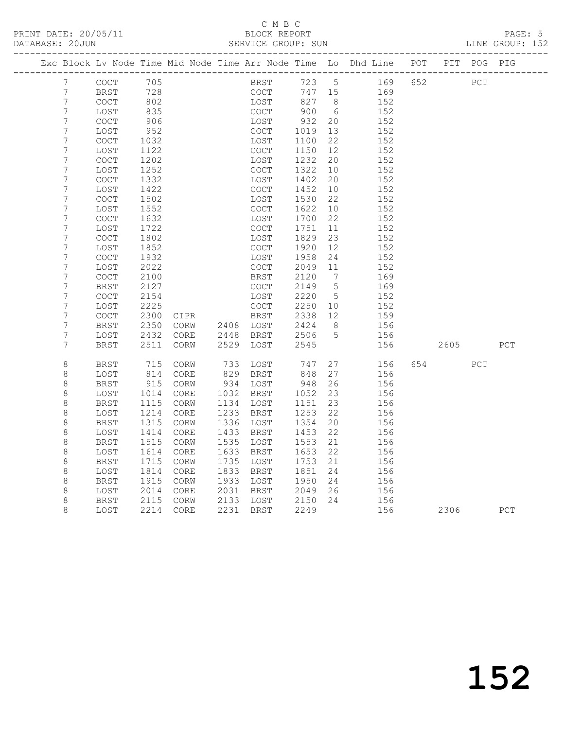|  |                  |              |              |                 |      |                                            |              |                 | Exc Block Lv Node Time Mid Node Time Arr Node Time Lo Dhd Line POT PIT POG PIG |     |        |            |     |
|--|------------------|--------------|--------------|-----------------|------|--------------------------------------------|--------------|-----------------|--------------------------------------------------------------------------------|-----|--------|------------|-----|
|  | 7                | COCT         | 705          |                 |      | BRST                                       | 723 5        |                 | 169                                                                            | 652 |        | PCT        |     |
|  | $\overline{7}$   | <b>BRST</b>  | 728          |                 |      | <b>COCT</b>                                | 747 15       |                 | 169                                                                            |     |        |            |     |
|  | $\overline{7}$   | <b>COCT</b>  | 802          |                 |      | LOST                                       | 827          | 8 <sup>8</sup>  | 152                                                                            |     |        |            |     |
|  | $\overline{7}$   | LOST         | 835          |                 |      | <b>COCT</b>                                | 900          | 6               | 152                                                                            |     |        |            |     |
|  | $\boldsymbol{7}$ | <b>COCT</b>  | 906          |                 |      | LOST                                       | 932          | 20              | 152                                                                            |     |        |            |     |
|  | 7                | LOST         | 952          |                 |      | $\mathtt{C}\mathtt{O}\mathtt{C}\mathtt{T}$ | 1019         | 13              | 152                                                                            |     |        |            |     |
|  | $\overline{7}$   | COCT         | 1032         |                 |      | LOST                                       | 1100         | 22              | 152                                                                            |     |        |            |     |
|  | 7                | LOST         | 1122         |                 |      | <b>COCT</b>                                | 1150         | 12              | 152                                                                            |     |        |            |     |
|  | $\overline{7}$   | COCT         | 1202         |                 |      | LOST                                       | 1232         | 20              | 152                                                                            |     |        |            |     |
|  | 7                | LOST         | 1252         |                 |      | COCT                                       | 1322         | 10              | 152                                                                            |     |        |            |     |
|  | 7<br>7           | COCT         | 1332         |                 |      | LOST                                       | 1402<br>1452 | 20<br>10        | 152<br>152                                                                     |     |        |            |     |
|  | 7                | LOST<br>COCT | 1422<br>1502 |                 |      | <b>COCT</b><br>LOST                        | 1530         | 22              | 152                                                                            |     |        |            |     |
|  | 7                | LOST         | 1552         |                 |      | COCT                                       | 1622         | 10              | 152                                                                            |     |        |            |     |
|  | 7                | COCT         | 1632         |                 |      | LOST                                       | 1700         | 22              | 152                                                                            |     |        |            |     |
|  | 7                | LOST         | 1722         |                 |      | <b>COCT</b>                                | 1751         | 11              | 152                                                                            |     |        |            |     |
|  | 7                | <b>COCT</b>  | 1802         |                 |      | LOST                                       | 1829         | 23              | 152                                                                            |     |        |            |     |
|  | $\boldsymbol{7}$ | LOST         | 1852         |                 |      | COCT                                       | 1920         | 12              | 152                                                                            |     |        |            |     |
|  | $\overline{7}$   | COCT         | 1932         |                 |      | LOST                                       | 1958         | 24              | 152                                                                            |     |        |            |     |
|  | 7                | LOST         | 2022         |                 |      | COCT                                       | 2049         | 11              | 152                                                                            |     |        |            |     |
|  | 7                | <b>COCT</b>  | 2100         |                 |      | <b>BRST</b>                                | 2120         | 7               | 169                                                                            |     |        |            |     |
|  | 7                | <b>BRST</b>  | 2127         |                 |      | COCT                                       | 2149         | $5\phantom{.0}$ | 169                                                                            |     |        |            |     |
|  | $\boldsymbol{7}$ | COCT         | 2154         |                 |      | LOST                                       | 2220         | 5               | 152                                                                            |     |        |            |     |
|  | 7                | LOST         | 2225         |                 |      | COCT                                       | 2250         | 10              | 152                                                                            |     |        |            |     |
|  | 7                | COCT         | 2300         | CIPR            |      | BRST                                       | 2338         | 12              | 159                                                                            |     |        |            |     |
|  | 7                | <b>BRST</b>  | 2350         | CORW            | 2408 | LOST                                       | 2424         | - 8             | 156                                                                            |     |        |            |     |
|  | $\overline{7}$   | LOST         | 2432         | $\mathtt{CORE}$ | 2448 | BRST                                       | 2506         | $5\phantom{.0}$ | 156                                                                            |     |        |            |     |
|  | 7                | BRST         | 2511         | CORW            | 2529 | LOST                                       | 2545         |                 | 156                                                                            |     | 2605   |            | PCT |
|  | 8                | <b>BRST</b>  | 715          | CORW            | 733  | LOST                                       | 747          | 27              | 156                                                                            |     | 654 65 | <b>PCT</b> |     |
|  | $\,8\,$          | LOST         | 814          | CORE            | 829  | BRST                                       | 848          | 27              | 156                                                                            |     |        |            |     |
|  | $\,8\,$          | BRST         | 915          | CORW            | 934  | LOST                                       | 948          | 26              | 156                                                                            |     |        |            |     |
|  | $\,8\,$          | LOST         | 1014         | CORE            | 1032 | BRST                                       | 1052         | 23              | 156                                                                            |     |        |            |     |
|  | 8                | <b>BRST</b>  | 1115         | CORW            | 1134 | LOST                                       | 1151         | 23              | 156                                                                            |     |        |            |     |
|  | $\,8\,$          | LOST         | 1214         | CORE            | 1233 | <b>BRST</b>                                | 1253         | 22              | 156                                                                            |     |        |            |     |
|  | $\,8\,$          | <b>BRST</b>  | 1315         | CORW            | 1336 | LOST                                       | 1354         | 20              | 156                                                                            |     |        |            |     |
|  | 8                | LOST         | 1414         | CORE            | 1433 | BRST                                       | 1453         | 22              | 156                                                                            |     |        |            |     |
|  | $\,8\,$          | <b>BRST</b>  | 1515         | CORW            | 1535 | LOST                                       | 1553         | 21              | 156                                                                            |     |        |            |     |
|  | 8                | LOST         | 1614         | CORE            | 1633 | BRST                                       | 1653         | 22              | 156                                                                            |     |        |            |     |
|  | $\,8\,$          | <b>BRST</b>  | 1715         | CORW            | 1735 | LOST                                       | 1753         | 21              | 156                                                                            |     |        |            |     |
|  | $\,8\,$          | LOST         | 1814         | CORE            | 1833 | BRST                                       | 1851         | 24              | 156                                                                            |     |        |            |     |
|  | 8                | BRST         | 1915         | CORW            | 1933 | LOST                                       | 1950         | 24              | 156                                                                            |     |        |            |     |
|  | 8                | LOST         | 2014         | CORE            | 2031 | BRST                                       | 2049         | 26              | 156                                                                            |     |        |            |     |
|  | 8                | <b>BRST</b>  | 2115         | CORW            | 2133 | LOST                                       | 2150         | 24              | 156                                                                            |     |        |            |     |
|  | 8                | LOST         | 2214         | $\mathtt{CORE}$ | 2231 | BRST                                       | 2249         |                 | 156                                                                            |     | 2306   |            | PCT |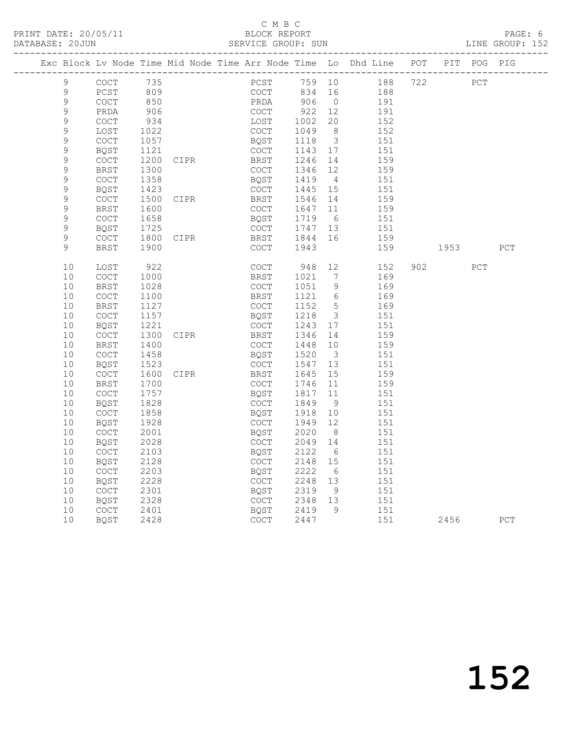|             |                                            |      | Exc Block Lv Node Time Mid Node Time Arr Node Time Lo Dhd Line POT PIT POG PIG |              |              |                         |                     |           |     |     |
|-------------|--------------------------------------------|------|--------------------------------------------------------------------------------|--------------|--------------|-------------------------|---------------------|-----------|-----|-----|
| 9           | COCT 735                                   |      |                                                                                |              |              |                         | PCST 759 10 188 722 | PCT       |     |     |
| 9           | PCST                                       | 809  |                                                                                | COCT         | 834 16       |                         | 188                 |           |     |     |
| 9           | COCT                                       | 850  |                                                                                |              | PRDA 906     |                         | $0$ 191             |           |     |     |
| $\mathsf 9$ | PRDA                                       | 906  |                                                                                | COCT         | 922          | 12                      | 191                 |           |     |     |
| $\mathsf 9$ | $\mathtt{C}\mathtt{O}\mathtt{C}\mathtt{T}$ | 934  |                                                                                | LOST         | 1002         | 20                      | 152                 |           |     |     |
| $\mathsf 9$ | LOST                                       | 1022 |                                                                                | COCT         | 1049         | 8 <sup>8</sup>          | 152                 |           |     |     |
| $\mathsf 9$ | <b>COCT</b>                                | 1057 |                                                                                | BQST         | 1118 3       |                         | 151                 |           |     |     |
| $\mathsf 9$ | <b>BQST</b>                                | 1121 |                                                                                | COCT         | 1143 17      |                         | 151                 |           |     |     |
| $\mathsf 9$ | COCT                                       | 1200 | CIPR                                                                           | BRST         | 1246 14      |                         | 159                 |           |     |     |
| $\mathsf 9$ | BRST                                       | 1300 |                                                                                | COCT         | 1346 12      |                         | 159                 |           |     |     |
| 9           | <b>COCT</b>                                | 1358 |                                                                                | BQST         | 1419 4       |                         | 151                 |           |     |     |
| 9           | BQST                                       | 1423 |                                                                                | COCT         | 1445 15      |                         | 151                 |           |     |     |
| $\mathsf 9$ | COCT                                       | 1500 | CIPR                                                                           | BRST         | 1546 14      |                         | 159                 |           |     |     |
| $\mathsf 9$ | BRST                                       | 1600 |                                                                                | COCT         | 1647 11      |                         | 159                 |           |     |     |
| $\mathsf 9$ | $\mathtt{C}\mathtt{O}\mathtt{C}\mathtt{T}$ | 1658 |                                                                                | BQST         | 1719 6       |                         | 151                 |           |     |     |
| 9           | BQST                                       | 1725 |                                                                                | COCT         | 1747 13      |                         | 151                 |           |     |     |
| 9           | COCT                                       | 1800 | CIPR                                                                           | BRST<br>COCT | 1844 16      |                         | 159                 |           |     |     |
| 9           | <b>BRST</b>                                | 1900 |                                                                                |              | 1943         |                         | 159                 | 1953 1995 |     | PCT |
| 10          | LOST                                       | 922  |                                                                                | COCT         | 948 12       |                         | 152                 | 902       | PCT |     |
| 10          | $\mathtt{C}\mathtt{O}\mathtt{C}\mathtt{T}$ | 1000 |                                                                                | BRST         | 1021         | $7\overline{ }$         | 169                 |           |     |     |
| 10          | <b>BRST</b>                                | 1028 |                                                                                | COCT         | 1051 9       |                         | 169                 |           |     |     |
| 10          | COCT                                       | 1100 |                                                                                | BRST         | 1121 6       |                         | 169                 |           |     |     |
| 10          | BRST                                       | 1127 |                                                                                | COCT         | 1152 5       |                         | 169                 |           |     |     |
| 10          | COCT                                       | 1157 |                                                                                | BQST         | 1218         | $\overline{\mathbf{3}}$ | 151                 |           |     |     |
| 10          | <b>BQST</b>                                | 1221 |                                                                                | COCT         | 1243 17      |                         | 151                 |           |     |     |
| 10          | COCT                                       | 1300 | CIPR                                                                           | BRST         | 1346 14      |                         | 159                 |           |     |     |
| 10          | BRST                                       | 1400 |                                                                                | COCT         | 1448 10      |                         | 159                 |           |     |     |
| 10          | COCT                                       | 1458 |                                                                                | BQST         | 1520         | $\overline{\mathbf{3}}$ | 151                 |           |     |     |
| 10          | <b>BQST</b>                                | 1523 |                                                                                | COCT         | 1547 13      |                         | 151                 |           |     |     |
| 10          | COCT                                       | 1600 | CIPR                                                                           | BRST         | 1645         | 15                      | 159                 |           |     |     |
| 10          | BRST                                       | 1700 |                                                                                | COCT         | 1746 11      |                         | 159                 |           |     |     |
| 10          | COCT                                       | 1757 |                                                                                | BQST         | 1817         | 11                      | 151                 |           |     |     |
| 10          | <b>BQST</b>                                | 1828 |                                                                                | COCT         | 1849         | 9                       | 151                 |           |     |     |
| 10          | COCT                                       | 1858 |                                                                                | BQST         | 1918         | 10                      | 151                 |           |     |     |
| 10          | BQST                                       | 1928 |                                                                                | COCT         | 1949 12      |                         | 151                 |           |     |     |
| 10          | COCT                                       | 2001 |                                                                                | BQST         | 2020         | - 8                     | 151                 |           |     |     |
| 10          | BQST                                       | 2028 |                                                                                | COCT         | 2049 14      |                         | 151                 |           |     |     |
| 10          | COCT                                       | 2103 |                                                                                | BQST         | 2122 6       |                         | 151                 |           |     |     |
| 10 BQST     |                                            | 2128 |                                                                                |              | COCT 2148 15 |                         | 151                 |           |     |     |
| 10          | COCT                                       | 2203 |                                                                                | BQST         | 2222         | 6                       | 151                 |           |     |     |
| 10          | <b>BQST</b>                                | 2228 |                                                                                | COCT         | 2248 13      |                         | 151                 |           |     |     |
| 10          | COCT                                       | 2301 |                                                                                | BQST         | 2319         | 9                       | 151                 |           |     |     |
| 10<br>10    | <b>BQST</b>                                | 2328 |                                                                                | COCT<br>BQST | 2348         | 13<br>9                 | 151<br>151          |           |     |     |
| 10          | COCT                                       | 2401 |                                                                                |              | 2419<br>2447 |                         | 151                 |           |     |     |
|             | BQST                                       | 2428 |                                                                                | COCT         |              |                         |                     | 2456      |     | PCT |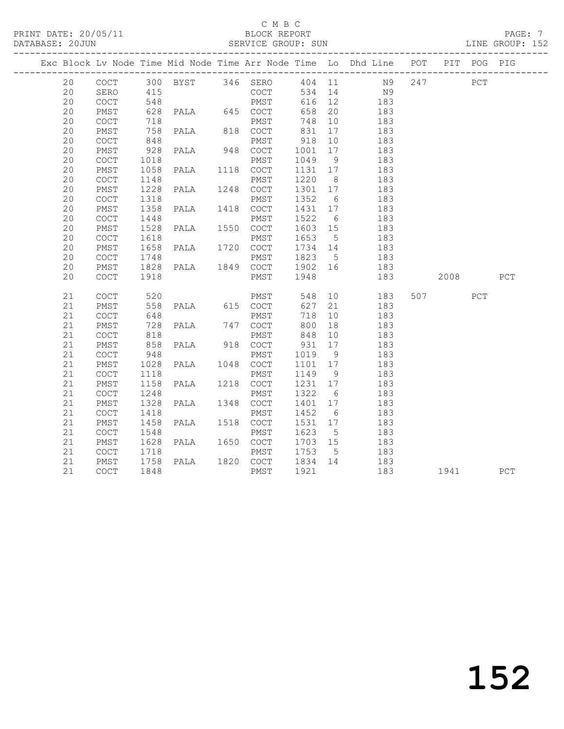|  |    |      |                 |                                                 |                                       |                   |                 | Exc Block Lv Node Time Mid Node Time Arr Node Time Lo Dhd Line POT PIT POG PIG |          |             |     |
|--|----|------|-----------------|-------------------------------------------------|---------------------------------------|-------------------|-----------------|--------------------------------------------------------------------------------|----------|-------------|-----|
|  | 20 |      |                 |                                                 |                                       |                   |                 | COCT 300 BYST 346 SERO 404 11 N9 247 PCT                                       |          |             |     |
|  | 20 | SERO | 415             |                                                 |                                       |                   |                 | COCT 534 14 N9                                                                 |          |             |     |
|  | 20 | COCT |                 |                                                 |                                       | $616$ 12          |                 | 183                                                                            |          |             |     |
|  | 20 | PMST |                 |                                                 |                                       | 658 20            |                 | 183                                                                            |          |             |     |
|  | 20 | COCT | 718             |                                                 | PMST                                  | 748 10            |                 | 183                                                                            |          |             |     |
|  | 20 | PMST | $\frac{1}{848}$ | 758 PALA 818 COCT                               | COCT 831 17<br>PMST 918 10            |                   |                 | 183                                                                            |          |             |     |
|  | 20 | COCT |                 |                                                 |                                       |                   |                 | 183                                                                            |          |             |     |
|  | 20 | PMST |                 | 928 PALA 948 COCT 1001 17                       |                                       |                   |                 | 183                                                                            |          |             |     |
|  | 20 | COCT | 1018            |                                                 | PMST 1049 9<br>PALA 1118 COCT 1131 17 |                   |                 | 183                                                                            |          |             |     |
|  | 20 | PMST | 1058            |                                                 |                                       |                   |                 | 183                                                                            |          |             |     |
|  | 20 | COCT | 1148            |                                                 | PMST                                  | 1220 8            |                 | 183                                                                            |          |             |     |
|  | 20 | PMST | 1228            | PALA 1248 COCT                                  |                                       | 1301 17           |                 | 183                                                                            |          |             |     |
|  | 20 | COCT |                 |                                                 |                                       |                   |                 | 183                                                                            |          |             |     |
|  | 20 | PMST |                 |                                                 |                                       |                   |                 | 183                                                                            |          |             |     |
|  | 20 | COCT | 1448            |                                                 | PMST 1522 6                           |                   |                 | 183                                                                            |          |             |     |
|  | 20 | PMST | 1528<br>1618    |                                                 | PALA 1550 COCT 1603 15<br>PMST 1653 5 |                   |                 | 183<br>183                                                                     |          |             |     |
|  | 20 | COCT | 1618            |                                                 |                                       |                   |                 |                                                                                |          |             |     |
|  | 20 | PMST |                 | 1658 PALA 1720 COCT 1734 14                     |                                       |                   |                 | 183                                                                            |          |             |     |
|  | 20 | COCT |                 |                                                 |                                       |                   |                 | 183                                                                            |          |             |     |
|  | 20 | PMST |                 |                                                 |                                       |                   |                 | 183                                                                            |          |             |     |
|  | 20 | COCT | 1918            |                                                 | PMST 1948                             |                   |                 | 183                                                                            | 2008     |             | PCT |
|  | 21 | COCT | 520             |                                                 |                                       |                   |                 | PMST 548 10 183                                                                | 507      | ${\tt PCT}$ |     |
|  | 21 | PMST |                 | 558 PALA 615 COCT                               |                                       |                   |                 | 627 21 183                                                                     |          |             |     |
|  | 21 | COCT | 648             |                                                 | PMST                                  | 718 10            |                 | 183                                                                            |          |             |     |
|  | 21 | PMST | 728<br>818      | PALA 747 COCT                                   |                                       | 800 18            |                 | 183                                                                            |          |             |     |
|  | 21 | COCT |                 |                                                 | PMST 848 10                           |                   |                 | 183                                                                            |          |             |     |
|  | 21 | PMST |                 | 858 PALA 918 COCT 931 17                        |                                       |                   |                 | 183                                                                            |          |             |     |
|  | 21 | COCT | 948             |                                                 | PMST                                  | 1019 9<br>1101 17 |                 | 183                                                                            |          |             |     |
|  | 21 | PMST |                 | 1028 PALA 1048 COCT                             |                                       |                   |                 | 183                                                                            |          |             |     |
|  | 21 | COCT | 1118            | PMST<br>PALA 1218 COCT                          |                                       | 1149 9            |                 | 183                                                                            |          |             |     |
|  | 21 | PMST | 1158            |                                                 |                                       | 1231 17<br>1322 6 |                 | 183                                                                            |          |             |     |
|  | 21 | COCT |                 | 1248 PMST 1322 6<br>1328 PALA 1348 COCT 1401 17 |                                       |                   |                 | 183                                                                            |          |             |     |
|  | 21 | PMST |                 |                                                 |                                       |                   |                 | 183                                                                            |          |             |     |
|  | 21 | COCT | 1418            |                                                 | PMST                                  | 1452              | $6\overline{6}$ | 183                                                                            |          |             |     |
|  | 21 | PMST | 1458            | PALA 1518 COCT                                  |                                       | 1531 17           |                 | 183                                                                            |          |             |     |
|  | 21 | COCT | 1548            |                                                 | PMST                                  | 1623              | 5               | 183                                                                            |          |             |     |
|  | 21 | PMST |                 |                                                 |                                       |                   |                 | 183                                                                            |          |             |     |
|  | 21 | COCT |                 |                                                 |                                       |                   |                 | 183                                                                            |          |             |     |
|  | 21 | PMST |                 |                                                 |                                       |                   |                 | 183                                                                            |          |             |     |
|  | 21 | COCT | 1848            |                                                 | PMST 1921                             |                   |                 | 183                                                                            | 1941 PCT |             |     |
|  |    |      |                 |                                                 |                                       |                   |                 |                                                                                |          |             |     |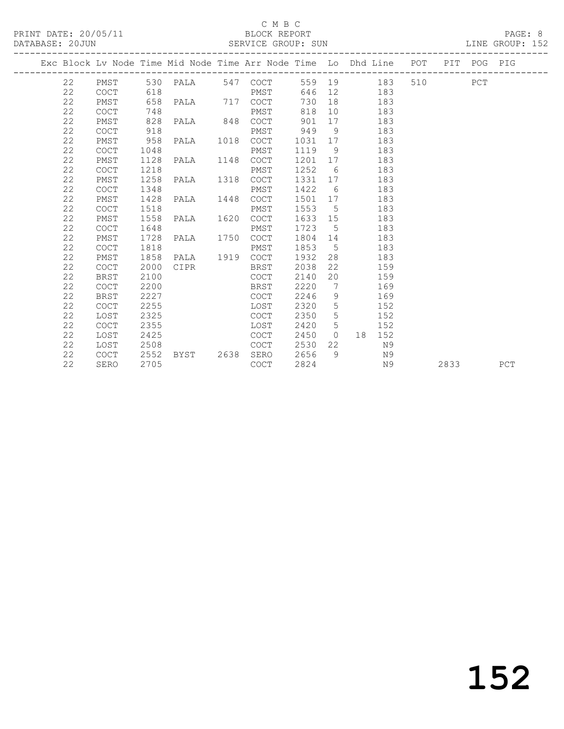### C M B C<br>BLOCK REPORT

#### SERVICE GROUP: SUN

|  |    |             |      | Exc Block Lv Node Time Mid Node Time Arr Node Time Lo Dhd Line POT PIT POG PIG |             |         |             |                 |     |         |      |     |
|--|----|-------------|------|--------------------------------------------------------------------------------|-------------|---------|-------------|-----------------|-----|---------|------|-----|
|  | 22 |             |      | PMST 530 PALA 547 COCT                                                         |             |         |             | 559 19 183      |     | 510 PCT |      |     |
|  | 22 | COCT        | 618  |                                                                                | PMST        |         |             | 646 12 183      |     |         |      |     |
|  | 22 | PMST        | 658  | PALA 717 COCT                                                                  |             | 730     | 18          | 183             |     |         |      |     |
|  | 22 | <b>COCT</b> | 748  |                                                                                | PMST        | 818     |             | 10              | 183 |         |      |     |
|  | 22 | PMST        | 828  | PALA 848 COCT                                                                  |             | 901     | 17          |                 | 183 |         |      |     |
|  | 22 | <b>COCT</b> | 918  |                                                                                | PMST        | 949     | 9           |                 | 183 |         |      |     |
|  | 22 | PMST        | 958  | PALA 1018                                                                      | COCT        | 1031 17 |             |                 | 183 |         |      |     |
|  | 22 | <b>COCT</b> | 1048 |                                                                                | PMST        | 1119 9  |             |                 | 183 |         |      |     |
|  | 22 | PMST        | 1128 | PALA 1148 COCT                                                                 |             | 1201 17 |             |                 | 183 |         |      |     |
|  | 22 | <b>COCT</b> | 1218 |                                                                                | PMST        | 1252    | 6           |                 | 183 |         |      |     |
|  | 22 | PMST        | 1258 | PALA 1318                                                                      | COCT        | 1331    |             |                 | 183 |         |      |     |
|  | 22 | <b>COCT</b> | 1348 |                                                                                | PMST        | 1422    | 6           |                 | 183 |         |      |     |
|  | 22 | PMST        | 1428 | PALA 1448 COCT                                                                 |             | 1501 17 |             |                 | 183 |         |      |     |
|  | 22 | <b>COCT</b> | 1518 |                                                                                | PMST        | 1553    | $5^{\circ}$ |                 | 183 |         |      |     |
|  | 22 | PMST        | 1558 | PALA 1620                                                                      | COCT        | 1633 15 |             |                 | 183 |         |      |     |
|  | 22 | COCT        | 1648 |                                                                                | PMST        | 1723 5  |             |                 | 183 |         |      |     |
|  | 22 | PMST        | 1728 | PALA 1750 COCT                                                                 |             | 1804 14 |             |                 | 183 |         |      |     |
|  | 22 | <b>COCT</b> | 1818 |                                                                                | PMST        | 1853    | $5^{\circ}$ |                 | 183 |         |      |     |
|  | 22 | PMST        | 1858 | PALA 1919 COCT                                                                 |             | 1932    | 28          |                 | 183 |         |      |     |
|  | 22 | COCT        | 2000 | CIPR                                                                           | BRST        | 2038    | 22          |                 | 159 |         |      |     |
|  | 22 | <b>BRST</b> | 2100 |                                                                                | COCT        | 2140    | 20          |                 | 159 |         |      |     |
|  | 22 | <b>COCT</b> | 2200 |                                                                                | BRST        | 2220    |             | $7\overline{ }$ | 169 |         |      |     |
|  | 22 | <b>BRST</b> | 2227 |                                                                                | COCT        | 2246    | 9           |                 | 169 |         |      |     |
|  | 22 | <b>COCT</b> | 2255 |                                                                                | LOST        | 2320    | 5           |                 | 152 |         |      |     |
|  | 22 | LOST        | 2325 |                                                                                | COCT        | 2350    | 5           | 152             |     |         |      |     |
|  | 22 | <b>COCT</b> | 2355 |                                                                                | LOST        | 2420    |             | $5^{\circ}$     | 152 |         |      |     |
|  | 22 | LOST        | 2425 |                                                                                | COCT        | 2450    |             | $0$ 18 152      |     |         |      |     |
|  | 22 | LOST        | 2508 |                                                                                | <b>COCT</b> | 2530    | 22          |                 | N9  |         |      |     |
|  | 22 | <b>COCT</b> | 2552 | BYST 2638                                                                      | SERO        | 2656    | 9           |                 | N9  |         |      |     |
|  | 22 | SERO        | 2705 |                                                                                | <b>COCT</b> | 2824    |             |                 | N9  |         | 2833 | PCT |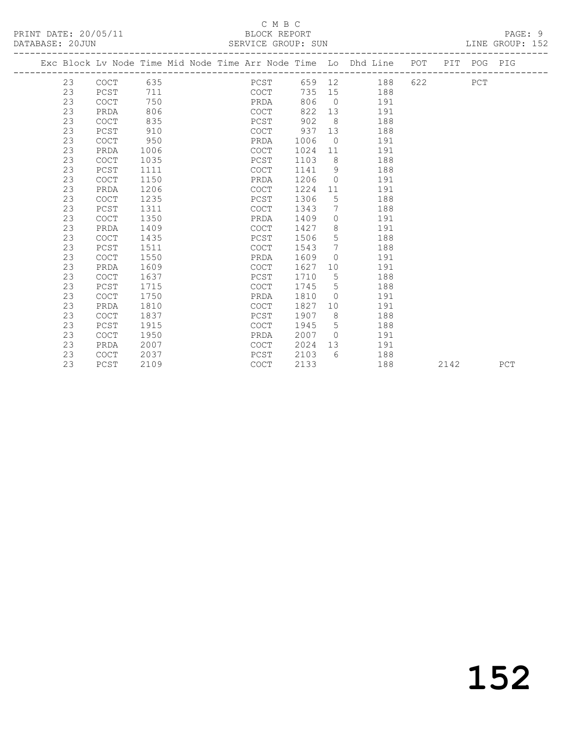#### C M B C<br>BLOCK REPORT SERVICE GROUP: SUN

|  |    |             |      |  |             |      |                 | Exc Block Lv Node Time Mid Node Time Arr Node Time Lo Dhd Line POT PIT POG PIG |     |     |  |
|--|----|-------------|------|--|-------------|------|-----------------|--------------------------------------------------------------------------------|-----|-----|--|
|  | 23 | COCT 635    |      |  | PCST        |      |                 | 659 12<br>188                                                                  | 622 | PCT |  |
|  | 23 | PCST        | 711  |  | COCT        | 735  | 15              | 188                                                                            |     |     |  |
|  | 23 | COCT        | 750  |  | PRDA        | 806  | $\overline{0}$  | 191                                                                            |     |     |  |
|  | 23 | PRDA        | 806  |  | COCT        | 822  | 13              | 191                                                                            |     |     |  |
|  | 23 | <b>COCT</b> | 835  |  | PCST        | 902  | 8               | 188                                                                            |     |     |  |
|  | 23 | PCST        | 910  |  | COCT        | 937  | 13              | 188                                                                            |     |     |  |
|  | 23 | <b>COCT</b> | 950  |  | PRDA        | 1006 | $\overline{0}$  | 191                                                                            |     |     |  |
|  | 23 | PRDA        | 1006 |  | COCT        | 1024 | 11              | 191                                                                            |     |     |  |
|  | 23 | <b>COCT</b> | 1035 |  | PCST        | 1103 | 8 <sup>8</sup>  | 188                                                                            |     |     |  |
|  | 23 | PCST        | 1111 |  | COCT        | 1141 | 9               | 188                                                                            |     |     |  |
|  | 23 | <b>COCT</b> | 1150 |  | PRDA        | 1206 | $\circ$         | 191                                                                            |     |     |  |
|  | 23 | PRDA        | 1206 |  | COCT        | 1224 | 11              | 191                                                                            |     |     |  |
|  | 23 | <b>COCT</b> | 1235 |  | PCST        | 1306 | 5               | 188                                                                            |     |     |  |
|  | 23 | PCST        | 1311 |  | COCT        | 1343 | 7               | 188                                                                            |     |     |  |
|  | 23 | COCT        | 1350 |  | PRDA        | 1409 | $\Omega$        | 191                                                                            |     |     |  |
|  | 23 | PRDA        | 1409 |  | COCT        | 1427 | 8               | 191                                                                            |     |     |  |
|  | 23 | <b>COCT</b> | 1435 |  | PCST        | 1506 | 5               | 188                                                                            |     |     |  |
|  | 23 | PCST        | 1511 |  | COCT        | 1543 | $\overline{7}$  | 188                                                                            |     |     |  |
|  | 23 | <b>COCT</b> | 1550 |  | PRDA        | 1609 | $\Omega$        | 191                                                                            |     |     |  |
|  | 23 | PRDA        | 1609 |  | COCT        | 1627 | 10              | 191                                                                            |     |     |  |
|  | 23 | <b>COCT</b> | 1637 |  | PCST        | 1710 | $5\overline{)}$ | 188                                                                            |     |     |  |
|  | 23 | PCST        | 1715 |  | <b>COCT</b> | 1745 | 5               | 188                                                                            |     |     |  |
|  | 23 | COCT        | 1750 |  | PRDA        | 1810 | $\Omega$        | 191                                                                            |     |     |  |
|  | 23 | PRDA        | 1810 |  | COCT        | 1827 | 10              | 191                                                                            |     |     |  |
|  | 23 | <b>COCT</b> | 1837 |  | PCST        | 1907 | 8               | 188                                                                            |     |     |  |
|  | 23 | PCST        | 1915 |  | COCT        | 1945 | 5               | 188                                                                            |     |     |  |
|  | 23 | <b>COCT</b> | 1950 |  | PRDA        | 2007 | $\overline{0}$  | 191                                                                            |     |     |  |
|  | 23 | PRDA        | 2007 |  | COCT        | 2024 | 13              | 191                                                                            |     |     |  |
|  | 23 | <b>COCT</b> | 2037 |  | PCST        | 2103 | 6               | 188                                                                            |     |     |  |

23 PCST 2109 COCT 2133 188 2142 PCT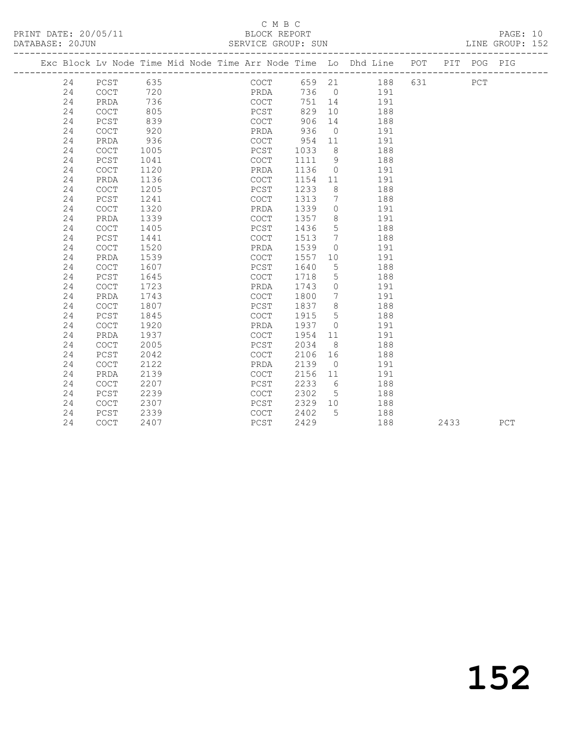PRINT DATE: 20/05/11 BLOCK REPORT BATABASE: 200000 BLOCK REPORT

### C M B C<br>BLOCK REPORT

PAGE: 10<br>LINE GROUP: 152

|  |    |                                            |      |  |      |      |                 | Exc Block Lv Node Time Mid Node Time Arr Node Time Lo Dhd Line POT |     |      | PIT POG PIG |     |
|--|----|--------------------------------------------|------|--|------|------|-----------------|--------------------------------------------------------------------|-----|------|-------------|-----|
|  | 24 | PCST 635                                   |      |  | COCT |      |                 | 659 21 188                                                         | 631 |      | ${\tt PCT}$ |     |
|  | 24 | COCT                                       | 720  |  | PRDA |      |                 | 736 0 191                                                          |     |      |             |     |
|  | 24 | PRDA                                       | 736  |  | COCT | 751  | 14              | 191                                                                |     |      |             |     |
|  | 24 | COCT                                       | 805  |  | PCST | 829  | 10              | 188                                                                |     |      |             |     |
|  | 24 | PCST                                       | 839  |  | COCT | 906  | 14              | 188                                                                |     |      |             |     |
|  | 24 | COCT                                       | 920  |  | PRDA | 936  | $\overline{0}$  | 191                                                                |     |      |             |     |
|  | 24 | PRDA                                       | 936  |  | COCT | 954  | 11              | 191                                                                |     |      |             |     |
|  | 24 | <b>COCT</b>                                | 1005 |  | PCST | 1033 | 8 <sup>8</sup>  | 188                                                                |     |      |             |     |
|  | 24 | PCST                                       | 1041 |  | COCT | 1111 | 9               | 188                                                                |     |      |             |     |
|  | 24 | COCT                                       | 1120 |  | PRDA | 1136 | $\overline{0}$  | 191                                                                |     |      |             |     |
|  | 24 | PRDA                                       | 1136 |  | COCT | 1154 | 11              | 191                                                                |     |      |             |     |
|  | 24 | <b>COCT</b>                                | 1205 |  | PCST | 1233 | 8 <sup>8</sup>  | 188                                                                |     |      |             |     |
|  | 24 | PCST                                       | 1241 |  | COCT | 1313 | $\overline{7}$  | 188                                                                |     |      |             |     |
|  | 24 | <b>COCT</b>                                | 1320 |  | PRDA | 1339 | $\overline{0}$  | 191                                                                |     |      |             |     |
|  | 24 | PRDA                                       | 1339 |  | COCT | 1357 | 8 <sup>8</sup>  | 191                                                                |     |      |             |     |
|  | 24 | <b>COCT</b>                                | 1405 |  | PCST | 1436 | $5^{\circ}$     | 188                                                                |     |      |             |     |
|  | 24 | PCST                                       | 1441 |  | COCT | 1513 | $\overline{7}$  | 188                                                                |     |      |             |     |
|  | 24 | $\mathtt{C}\mathtt{O}\mathtt{C}\mathtt{T}$ | 1520 |  | PRDA | 1539 | $\circ$         | 191                                                                |     |      |             |     |
|  | 24 | PRDA                                       | 1539 |  | COCT | 1557 | 10              | 191                                                                |     |      |             |     |
|  | 24 | <b>COCT</b>                                | 1607 |  | PCST | 1640 | 5               | 188                                                                |     |      |             |     |
|  | 24 | PCST                                       | 1645 |  | COCT | 1718 | $5\phantom{.0}$ | 188                                                                |     |      |             |     |
|  | 24 | $\mathtt{C}\mathtt{O}\mathtt{C}\mathtt{T}$ | 1723 |  | PRDA | 1743 | $\circ$         | 191                                                                |     |      |             |     |
|  | 24 | PRDA                                       | 1743 |  | COCT | 1800 | $7\phantom{.0}$ | 191                                                                |     |      |             |     |
|  | 24 | COCT                                       | 1807 |  | PCST | 1837 | 8 <sup>8</sup>  | 188                                                                |     |      |             |     |
|  | 24 | PCST                                       | 1845 |  | COCT | 1915 | 5               | 188                                                                |     |      |             |     |
|  | 24 | <b>COCT</b>                                | 1920 |  | PRDA | 1937 | $\overline{0}$  | 191                                                                |     |      |             |     |
|  | 24 | PRDA                                       | 1937 |  | COCT | 1954 | 11              | 191                                                                |     |      |             |     |
|  | 24 | <b>COCT</b>                                | 2005 |  | PCST | 2034 | 8 <sup>8</sup>  | 188                                                                |     |      |             |     |
|  | 24 | PCST                                       | 2042 |  | COCT | 2106 | 16              | 188                                                                |     |      |             |     |
|  | 24 | COCT                                       | 2122 |  | PRDA | 2139 | $\overline{0}$  | 191                                                                |     |      |             |     |
|  | 24 | PRDA                                       | 2139 |  | COCT | 2156 | 11              | 191                                                                |     |      |             |     |
|  | 24 | $\mathtt{C}\mathtt{O}\mathtt{C}\mathtt{T}$ | 2207 |  | PCST | 2233 | 6               | 188                                                                |     |      |             |     |
|  | 24 | PCST                                       | 2239 |  | COCT | 2302 | $5^{\circ}$     | 188                                                                |     |      |             |     |
|  | 24 | COCT                                       | 2307 |  | PCST | 2329 | 10              | 188                                                                |     |      |             |     |
|  | 24 | PCST                                       | 2339 |  | COCT | 2402 | $5^{\circ}$     | 188                                                                |     |      |             |     |
|  | 24 | <b>COCT</b>                                | 2407 |  | PCST | 2429 |                 | 188                                                                |     | 2433 |             | PCT |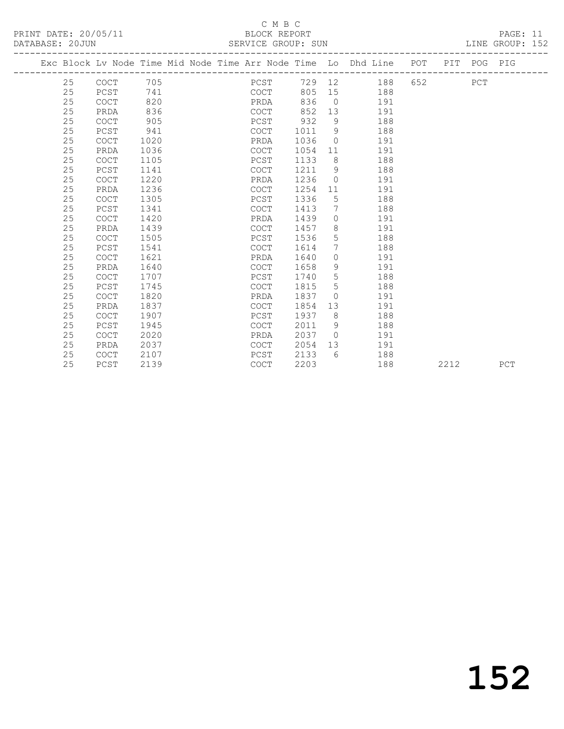PRINT DATE: 20/05/11 BLOCK REPORT<br>
DATABASE: 20.JUN

### C M B C<br>BLOCK REPORT

PAGE: 11<br>LINE GROUP: 152

|  | DAIADAJE. ZUUUN |             |      |  | ODLVILU UNUUI. JUN |      |                |                                                                    |         |             | TIME GUANE . TAY |
|--|-----------------|-------------|------|--|--------------------|------|----------------|--------------------------------------------------------------------|---------|-------------|------------------|
|  |                 |             |      |  |                    |      |                | Exc Block Lv Node Time Mid Node Time Arr Node Time Lo Dhd Line POT |         | PIT POG PIG |                  |
|  | 25              | COCT        | 705  |  | PCST               |      |                | 729 12 188                                                         | 652 PCT |             |                  |
|  | 25              | PCST        | 741  |  | COCT               | 805  |                | 188                                                                |         |             |                  |
|  | 25              | <b>COCT</b> | 820  |  | PRDA               | 836  | $\overline{0}$ | 191                                                                |         |             |                  |
|  | 25              | PRDA        | 836  |  | COCT               | 852  | 13             | 191                                                                |         |             |                  |
|  | 25              | <b>COCT</b> | 905  |  | PCST               | 932  | 9              | 188                                                                |         |             |                  |
|  | 25              | PCST        | 941  |  | COCT               | 1011 | 9              | 188                                                                |         |             |                  |
|  | 25              | <b>COCT</b> | 1020 |  | PRDA               | 1036 | $\overline{0}$ | 191                                                                |         |             |                  |
|  | 25              | PRDA        | 1036 |  | <b>COCT</b>        | 1054 | 11             | 191                                                                |         |             |                  |
|  | 25              | <b>COCT</b> | 1105 |  | PCST               | 1133 | 8 <sup>8</sup> | 188                                                                |         |             |                  |
|  | 25              | PCST        | 1141 |  | COCT               | 1211 | 9              | 188                                                                |         |             |                  |
|  | 25              | <b>COCT</b> | 1220 |  | PRDA               | 1236 | $\Omega$       | 191                                                                |         |             |                  |
|  | 25              | PRDA        | 1236 |  | COCT               | 1254 | 11             | 191                                                                |         |             |                  |
|  | 25              | <b>COCT</b> | 1305 |  | PCST               | 1336 | 5              | 188                                                                |         |             |                  |
|  | 25              | PCST        | 1341 |  | COCT               | 1413 | 7              | 188                                                                |         |             |                  |
|  | 25              | <b>COCT</b> | 1420 |  | PRDA               | 1439 | $\Omega$       | 191                                                                |         |             |                  |
|  | 25              | PRDA        | 1439 |  | COCT               | 1457 | 8              | 191                                                                |         |             |                  |
|  | 25              | <b>COCT</b> | 1505 |  | PCST               | 1536 | 5              | 188                                                                |         |             |                  |
|  | 25              | PCST        | 1541 |  | COCT               | 1614 | 7              | 188                                                                |         |             |                  |
|  | 25              | <b>COCT</b> | 1621 |  | PRDA               | 1640 | $\circ$        | 191                                                                |         |             |                  |
|  | 25              | PRDA        | 1640 |  | COCT               | 1658 | 9              | 191                                                                |         |             |                  |
|  | 25              | <b>COCT</b> | 1707 |  | PCST               | 1740 | 5              | 188                                                                |         |             |                  |
|  | 25              | PCST        | 1745 |  | COCT               | 1815 | 5              | 188                                                                |         |             |                  |
|  | 25              | <b>COCT</b> | 1820 |  | PRDA               | 1837 | $\bigcirc$     | 191                                                                |         |             |                  |
|  | 25              | PRDA        | 1837 |  | <b>COCT</b>        | 1854 | 13             | 191                                                                |         |             |                  |
|  | 25              | <b>COCT</b> | 1907 |  | PCST               | 1937 | 8              | 188                                                                |         |             |                  |
|  | 25              | PCST        | 1945 |  | COCT               | 2011 | 9              | 188                                                                |         |             |                  |
|  | 25              | <b>COCT</b> | 2020 |  | PRDA               | 2037 | $\bigcirc$     | 191                                                                |         |             |                  |
|  | 25              | PRDA        | 2037 |  | COCT               | 2054 | 13             | 191                                                                |         |             |                  |
|  | 25              | <b>COCT</b> | 2107 |  | PCST               | 2133 | 6              | 188                                                                |         |             |                  |
|  |                 |             |      |  |                    |      |                |                                                                    |         |             |                  |

25 PCST 2139 COCT 2203 188 2212 PCT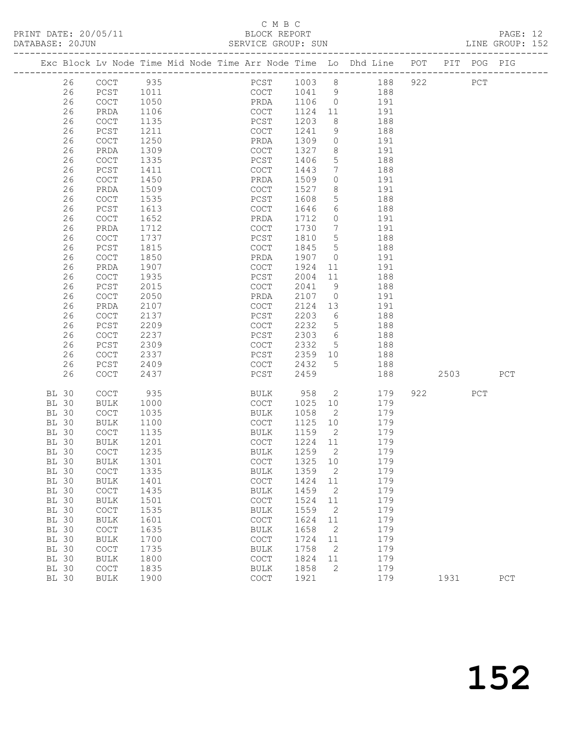### C M B C<br>BLOCK REPORT

|                 |                      | <u>U 11 D U </u>   |                 |
|-----------------|----------------------|--------------------|-----------------|
|                 | PRINT DATE: 20/05/11 | BLOCK REPORT       | PAGE: 12        |
| DATABASE: 20JUN |                      | SERVICE GROUP: SUN | LINE GROUP: 152 |

|                              |       |                                            |              |  |                                            |      |              |                          | Exc Block Lv Node Time Mid Node Time Arr Node Time Lo Dhd Line POT |     |      | PIT POG PIG |             |
|------------------------------|-------|--------------------------------------------|--------------|--|--------------------------------------------|------|--------------|--------------------------|--------------------------------------------------------------------|-----|------|-------------|-------------|
|                              | 26    | COCT                                       | 935          |  |                                            |      | PCST 1003 8  |                          | 188                                                                | 922 |      | ${\tt PCT}$ |             |
|                              | 26    | PCST                                       | 1011         |  |                                            | COCT | 1041 9       |                          | 188                                                                |     |      |             |             |
|                              | 26    | COCT                                       | 1050         |  | PRDA                                       |      | 1106         | $\overline{0}$           | 191                                                                |     |      |             |             |
|                              | 26    | PRDA                                       | 1106         |  | COCT                                       |      | 1124         | 11                       | 191                                                                |     |      |             |             |
|                              | 26    | COCT                                       | 1135         |  | PCST                                       |      | 1203         | 8                        | 188                                                                |     |      |             |             |
|                              | 26    | PCST                                       | 1211         |  | COCT                                       |      | 1241         | 9                        | 188                                                                |     |      |             |             |
|                              | 26    | COCT                                       | 1250         |  | PRDA                                       |      | 1309         | $\overline{0}$           | 191                                                                |     |      |             |             |
|                              | 26    | PRDA                                       | 1309         |  | COCT                                       |      | 1327         | 8                        | 191                                                                |     |      |             |             |
|                              | 26    | COCT                                       | 1335         |  | PCST                                       |      | 1406         | 5                        | 188                                                                |     |      |             |             |
|                              | 26    | PCST                                       | 1411         |  | COCT                                       |      | 1443         | $7\phantom{.0}$          | 188                                                                |     |      |             |             |
|                              | 26    | COCT                                       | 1450         |  | PRDA                                       |      | 1509         | $\circ$                  | 191                                                                |     |      |             |             |
|                              | 26    | PRDA                                       | 1509         |  | COCT                                       |      | 1527         | 8                        | 191                                                                |     |      |             |             |
|                              | 26    | COCT                                       | 1535         |  | PCST                                       |      | 1608         | 5                        | 188                                                                |     |      |             |             |
|                              | 26    | ${\tt PCST}$                               | 1613         |  | COCT                                       |      | 1646         | 6                        | 188                                                                |     |      |             |             |
|                              | 26    | COCT                                       | 1652         |  | PRDA                                       |      | 1712         | $\circ$                  | 191                                                                |     |      |             |             |
|                              | 26    | PRDA                                       | 1712         |  | COCT                                       |      | 1730         | $7\phantom{.0}$          | 191                                                                |     |      |             |             |
|                              | 26    | COCT                                       | 1737         |  | PCST                                       |      | 1810         | $5\overline{)}$          | 188                                                                |     |      |             |             |
|                              | 26    | PCST                                       | 1815         |  | COCT                                       |      | 1845         | $5\overline{)}$          | 188                                                                |     |      |             |             |
|                              | 26    | COCT                                       | 1850         |  | PRDA                                       |      | 1907         | $\overline{0}$           | 191                                                                |     |      |             |             |
|                              | 26    | PRDA                                       | 1907         |  | COCT                                       |      | 1924         | 11                       | 191                                                                |     |      |             |             |
|                              | 26    | COCT                                       | 1935         |  | PCST                                       |      | 2004         | 11                       | 188                                                                |     |      |             |             |
|                              | 26    | PCST                                       | 2015         |  | COCT                                       |      | 2041         | 9                        | 188                                                                |     |      |             |             |
|                              | 26    | $\mathtt{C}\mathtt{O}\mathtt{C}\mathtt{T}$ | 2050         |  | PRDA                                       |      | 2107         | $\overline{0}$           | 191                                                                |     |      |             |             |
|                              | 26    | PRDA                                       | 2107         |  | COCT                                       |      | 2124         | 13                       | 191                                                                |     |      |             |             |
|                              | 26    | COCT                                       | 2137         |  | PCST                                       |      | 2203         | 6                        | 188                                                                |     |      |             |             |
|                              | 26    | PCST                                       | 2209         |  | COCT                                       |      | 2232         | $5\overline{)}$          | 188                                                                |     |      |             |             |
|                              | 26    | COCT                                       | 2237         |  | PCST                                       |      | 2303         | $6\overline{6}$          | 188                                                                |     |      |             |             |
|                              | 26    | PCST                                       | 2309         |  | COCT                                       |      | 2332         | $5^{\circ}$              | 188                                                                |     |      |             |             |
|                              | 26    | COCT                                       | 2337         |  | PCST                                       |      | 2359         | 10                       | 188                                                                |     |      |             |             |
|                              | 26    | PCST                                       | 2409         |  | COCT                                       |      | 2432         | 5                        | 188                                                                |     |      |             |             |
|                              | 26    | COCT                                       | 2437         |  | PCST                                       |      | 2459         |                          | 188                                                                |     | 2503 |             | PCT         |
| <b>BL 30</b>                 |       | COCT                                       | 935          |  | BULK                                       |      | 958          | $\overline{2}$           | 179                                                                | 922 |      | PCT         |             |
| <b>BL 30</b>                 |       | <b>BULK</b>                                | 1000         |  | COCT                                       |      | 1025         | 10                       | 179                                                                |     |      |             |             |
| BL 30                        |       | COCT                                       | 1035         |  | BULK                                       |      | 1058         | $\overline{\phantom{a}}$ | 179                                                                |     |      |             |             |
| <b>BL 30</b>                 |       | BULK                                       | 1100         |  | COCT                                       |      | 1125 10      |                          | 179                                                                |     |      |             |             |
| BL 30                        |       | COCT                                       | 1135         |  | BULK                                       |      | 1159         | $\overline{2}$           | 179                                                                |     |      |             |             |
| <b>BL 30</b>                 |       | BULK                                       | 1201         |  | COCT                                       |      | 1224 11      |                          | 179                                                                |     |      |             |             |
| BL 30                        |       | COCT                                       | 1235         |  | BULK                                       |      | 1259         | $\overline{2}$           | 179                                                                |     |      |             |             |
|                              | BL 30 | BULK 1301                                  |              |  |                                            |      | COCT 1325 10 |                          | 179                                                                |     |      |             |             |
| BL 30                        |       | COCT                                       | 1335         |  | BULK                                       |      | 1359         | 2                        | 179                                                                |     |      |             |             |
| <b>BL 30</b>                 |       | <b>BULK</b>                                | 1401         |  | COCT                                       |      | 1424         | 11                       | 179                                                                |     |      |             |             |
| <b>BL 30</b>                 |       | $\mathtt{C}\mathtt{O}\mathtt{C}\mathtt{T}$ | 1435         |  | <b>BULK</b>                                |      | 1459         | 2                        | 179                                                                |     |      |             |             |
| <b>BL 30</b>                 |       | <b>BULK</b>                                | 1501         |  | COCT                                       |      | 1524         | 11                       | 179                                                                |     |      |             |             |
| <b>BL 30</b>                 |       | COCT                                       | 1535         |  | <b>BULK</b>                                |      | 1559         | 2                        | 179                                                                |     |      |             |             |
| <b>BL 30</b>                 |       | <b>BULK</b>                                | 1601         |  | $\mathtt{C}\mathtt{O}\mathtt{C}\mathtt{T}$ |      | 1624         | 11                       | 179                                                                |     |      |             |             |
| <b>BL 30</b>                 |       | COCT                                       | 1635         |  | <b>BULK</b>                                |      | 1658         | 2                        | 179                                                                |     |      |             |             |
| BL 30                        |       | <b>BULK</b>                                | 1700         |  | COCT                                       |      | 1724         | 11                       | 179                                                                |     |      |             |             |
| <b>BL 30</b>                 |       | COCT                                       | 1735         |  | <b>BULK</b>                                |      | 1758<br>1824 | 2                        | 179                                                                |     |      |             |             |
| <b>BL 30</b><br><b>BL 30</b> |       | <b>BULK</b><br>COCT                        | 1800<br>1835 |  | COCT<br><b>BULK</b>                        |      | 1858         | 11<br>$\mathbf{2}$       | 179<br>179                                                         |     |      |             |             |
| <b>BL 30</b>                 |       | <b>BULK</b>                                | 1900         |  | COCT                                       |      | 1921         |                          | 179                                                                |     | 1931 |             | ${\tt PCT}$ |
|                              |       |                                            |              |  |                                            |      |              |                          |                                                                    |     |      |             |             |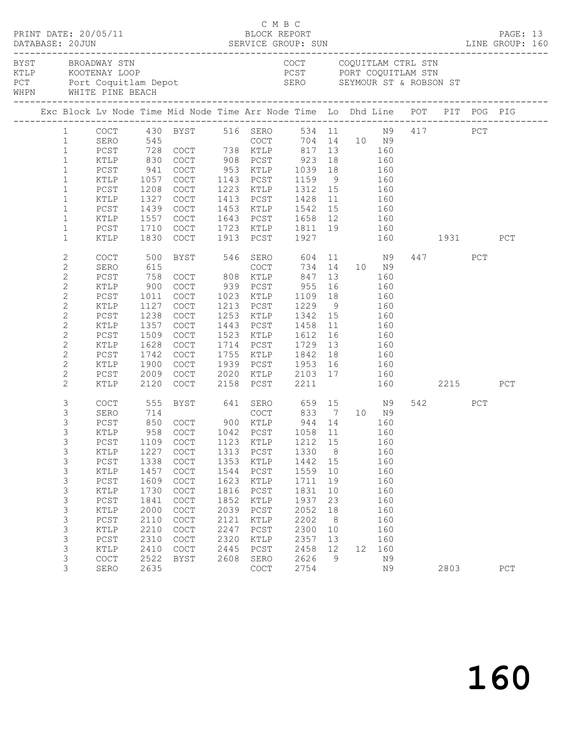|                   |                |        |                                            | PRINT DATE: 20/05/11<br>BLOCK REPORT BLOCK PERT<br>DATABASE: 20JUN SERVICE GROUP: SUN LINE GROUP: 160                                                                                                                          |      | C M B C                                                              |              |                 |                   |     |              |      |     |     |  |
|-------------------|----------------|--------|--------------------------------------------|--------------------------------------------------------------------------------------------------------------------------------------------------------------------------------------------------------------------------------|------|----------------------------------------------------------------------|--------------|-----------------|-------------------|-----|--------------|------|-----|-----|--|
| BYST BROADWAY STN |                |        |                                            | EN COUNTREASE CONFIDENT CONFIDENT CONFIDENT CONFIDENT CONFIDENT CONFIDENT CONFIDENT CONFIDENT CONFIDENT CONFIDENT CONFIDENT CONFIDENT CONFIDENT CONFIDENT CONFIDENT CONFIDENT CONFIDENT CONFIDENT CONFIDENT CONFIDENT CONFIDEN |      | COCT COQUITLAM CTRL STN                                              |              |                 |                   |     |              |      |     |     |  |
|                   |                |        |                                            |                                                                                                                                                                                                                                |      |                                                                      |              |                 |                   |     |              |      |     |     |  |
|                   |                |        |                                            | 1 COCT 430 BYST 516 SERO 534 11 N9 417 PCT<br>1 SERO 545 COCT 704 14 10 N9<br>1 PCST 728 COCT 738 KTLP 817 13 160                                                                                                              |      |                                                                      |              |                 |                   |     |              |      |     |     |  |
|                   |                |        |                                            |                                                                                                                                                                                                                                |      |                                                                      |              |                 |                   |     |              |      |     |     |  |
|                   |                |        |                                            |                                                                                                                                                                                                                                |      |                                                                      |              |                 |                   |     |              |      |     |     |  |
|                   | $\mathbf{1}$   | KTLP   | 830                                        | COCT 908 PCST 923 18 160<br>COCT 953 KTLP 1039 18 160<br>COCT 1143 PCST 1159 9 160                                                                                                                                             |      |                                                                      |              |                 |                   |     |              |      |     |     |  |
|                   | $\mathbf{1}$   | PCST   | $\begin{array}{c} 941 \\ 1057 \end{array}$ |                                                                                                                                                                                                                                |      |                                                                      |              |                 |                   |     |              |      |     |     |  |
|                   | $\mathbf{1}$   | KTLP   | 1057                                       |                                                                                                                                                                                                                                |      |                                                                      |              |                 |                   |     |              |      |     |     |  |
|                   | $\mathbf{1}$   | PCST   | 1208                                       | COCT                                                                                                                                                                                                                           |      | 1223 KTLP 1312 15                                                    |              |                 | 160               |     |              |      |     |     |  |
|                   | $\mathbf{1}$   | KTLP   | 1327                                       | COCT                                                                                                                                                                                                                           |      | 1413 PCST                                                            | 1428         | 11              | 160               |     |              |      |     |     |  |
|                   | $\mathbf{1}$   | PCST   | 1439                                       | COCT                                                                                                                                                                                                                           |      | 1453 KTLP 1542 15 160<br>1643 PCST 1658 12 160                       |              |                 |                   |     |              |      |     |     |  |
|                   | $\mathbf{1}$   | KTLP   | 1557                                       | COCT                                                                                                                                                                                                                           |      |                                                                      |              |                 |                   |     |              |      |     |     |  |
|                   | $\mathbf{1}$   | PCST   | 1710                                       | COCT                                                                                                                                                                                                                           |      | 1723 KTLP 1811 19 160                                                |              |                 |                   |     |              |      |     |     |  |
|                   | $\mathbf{1}$   | KTLP   | 1830                                       | COCT                                                                                                                                                                                                                           |      | 1913 PCST 1927                                                       |              |                 |                   |     | 160 1931     |      |     | PCT |  |
|                   | $\mathbf{2}$   | COCT   | 500                                        |                                                                                                                                                                                                                                |      | BYST 546 SERO 604 11 N9                                              |              |                 |                   |     |              | 447  | PCT |     |  |
|                   | $\mathbf{2}$   | SERO   | 615                                        |                                                                                                                                                                                                                                |      | COCT                                                                 |              |                 | 734 14 10 N9      |     |              |      |     |     |  |
|                   | $\overline{c}$ | PCST   | 758                                        | COCT 808 KTLP                                                                                                                                                                                                                  |      |                                                                      | 847          |                 | 13                | 160 |              |      |     |     |  |
|                   | $\mathbf{2}$   | KTLP   | 900                                        | COCT                                                                                                                                                                                                                           |      | 939 PCST                                                             | 955          | 16              | 160               |     |              |      |     |     |  |
|                   | $\mathbf{2}$   | PCST   | 1011                                       | COCT                                                                                                                                                                                                                           |      | 1023 KTLP                                                            | 1109 18      |                 |                   | 160 |              |      |     |     |  |
|                   | $\mathbf{2}$   | KTLP   | 1127                                       | COCT                                                                                                                                                                                                                           |      | 1213 PCST                                                            | $1229$ 9 160 |                 |                   |     |              |      |     |     |  |
|                   | $\overline{c}$ | PCST   | 1238                                       | COCT                                                                                                                                                                                                                           |      | 1253 KTLP                                                            | 1342 15      |                 | 160               |     |              |      |     |     |  |
|                   | 2              | KTLP   | 1357                                       | COCT                                                                                                                                                                                                                           |      | 1443 PCST                                                            | 1458         | 11              | 160               |     |              |      |     |     |  |
|                   | $\mathbf{2}$   | $PCST$ | 1509                                       | COCT                                                                                                                                                                                                                           |      | 1523 KTLP                                                            | 1612 16      |                 | $\frac{160}{160}$ |     |              |      |     |     |  |
|                   | $\mathbf{2}$   | KTLP   | 1628                                       | COCT                                                                                                                                                                                                                           |      | 1714 PCST                                                            | 1729         | 13              |                   |     |              |      |     |     |  |
|                   | $\mathbf{2}$   | PCST   | 1742                                       | COCT                                                                                                                                                                                                                           |      | 1755 KTLP 1842                                                       |              | 18              | 160               |     |              |      |     |     |  |
|                   | 2              | KTLP   | 1900                                       | COCT                                                                                                                                                                                                                           |      |                                                                      |              |                 |                   |     |              |      |     |     |  |
|                   | $\mathbf{2}$   | PCST   | 2009                                       | COCT                                                                                                                                                                                                                           |      |                                                                      |              |                 |                   |     |              |      |     |     |  |
|                   | $\mathbf{2}$   | KTLP   | 2120                                       | COCT                                                                                                                                                                                                                           |      | 1939 PCST 1953 16 160<br>2020 KTLP 2103 17 160<br>2158 PCST 2211 160 |              |                 |                   |     | 160 2215 PCT |      |     |     |  |
|                   | 3              | COCT   | 555                                        |                                                                                                                                                                                                                                |      | BYST 641 SERO 659 15 N9                                              |              |                 |                   |     |              | 542  | PCT |     |  |
|                   | $\mathfrak{Z}$ | SERO   | 714<br>850                                 | COCT 833 7 10 N9<br>COCT 900 KTLP 944 14 160                                                                                                                                                                                   |      |                                                                      |              |                 |                   |     |              |      |     |     |  |
|                   | 3              | PCST   |                                            |                                                                                                                                                                                                                                |      |                                                                      |              |                 |                   |     |              |      |     |     |  |
|                   | 3              | KTLP   |                                            | 958 COCT 1042 PCST 1058 11 160                                                                                                                                                                                                 |      |                                                                      |              |                 |                   |     |              |      |     |     |  |
|                   | 3              | PCST   | 1109                                       | COCT                                                                                                                                                                                                                           | 1123 | KTLP                                                                 | 1212         | 15              |                   | 160 |              |      |     |     |  |
|                   | 3              | KTLP   | 1227                                       | COCT                                                                                                                                                                                                                           | 1313 | PCST                                                                 | 1330         | 8 <sup>8</sup>  |                   | 160 |              |      |     |     |  |
|                   | 3              | $PCST$ | 1338                                       | COCT                                                                                                                                                                                                                           | 1353 | KTLP                                                                 | 1442         | 15              |                   | 160 |              |      |     |     |  |
|                   | 3              | KTLP   | 1457                                       | COCT                                                                                                                                                                                                                           | 1544 | PCST                                                                 | 1559         | 10              |                   | 160 |              |      |     |     |  |
|                   | 3              | PCST   | 1609                                       | $\mathtt{C}\mathtt{O}\mathtt{C}\mathtt{T}$                                                                                                                                                                                     | 1623 | KTLP                                                                 | 1711         | 19              |                   | 160 |              |      |     |     |  |
|                   | $\mathfrak{Z}$ | KTLP   | 1730                                       | COCT                                                                                                                                                                                                                           | 1816 | PCST                                                                 | 1831         | 10              |                   | 160 |              |      |     |     |  |
|                   | 3              | $PCST$ | 1841                                       | COCT                                                                                                                                                                                                                           | 1852 | $\texttt{KTLP}$                                                      | 1937         | 23              |                   | 160 |              |      |     |     |  |
|                   | 3              | KTLP   | 2000                                       | COCT                                                                                                                                                                                                                           | 2039 | PCST                                                                 | 2052         | 18              |                   | 160 |              |      |     |     |  |
|                   | 3              | $PCST$ | 2110                                       | $\operatorname{COT}$                                                                                                                                                                                                           | 2121 | KTLP                                                                 | 2202         | 8 <sup>8</sup>  |                   | 160 |              |      |     |     |  |
|                   | 3              | KTLP   | 2210                                       | $\mathtt{C}\mathtt{O}\mathtt{C}\mathtt{T}$                                                                                                                                                                                     | 2247 | $_{\rm PCST}$                                                        | 2300         | 10              |                   | 160 |              |      |     |     |  |
|                   | 3              | $PCST$ | 2310                                       | COCT                                                                                                                                                                                                                           | 2320 | KTLP                                                                 | 2357         | 13              |                   | 160 |              |      |     |     |  |
|                   | 3              | KTLP   | 2410                                       | COCT                                                                                                                                                                                                                           | 2445 | PCST                                                                 | 2458         | 12 <sup>°</sup> | 12 <sup>°</sup>   | 160 |              |      |     |     |  |
|                   | 3              | COCT   | 2522                                       | BYST                                                                                                                                                                                                                           | 2608 | SERO                                                                 | 2626         | 9               |                   | N9  |              |      |     |     |  |
|                   | 3              | SERO   | 2635                                       |                                                                                                                                                                                                                                |      | COCT                                                                 | 2754         |                 |                   | N9  |              | 2803 |     | PCT |  |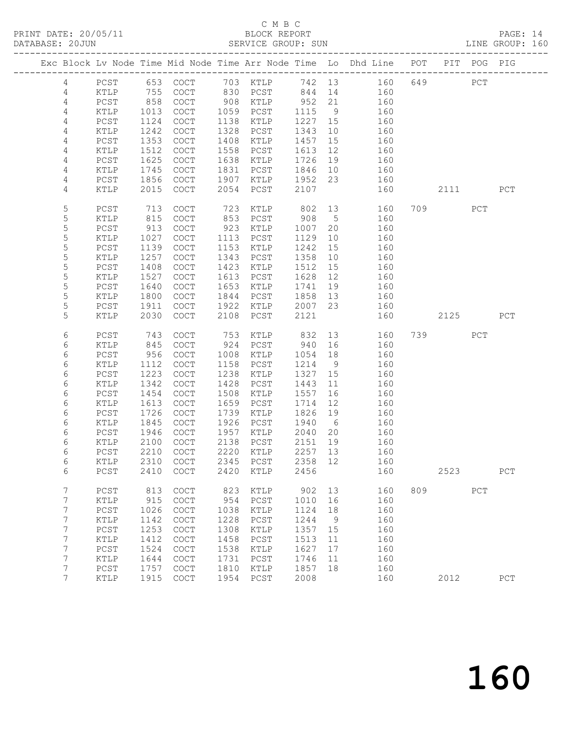PRINT DATE: 20/05/11 BLOCK REPORT BATABASE: 20JUN

### C M B C<br>BLOCK REPORT

PAGE: 14<br>LINE GROUP: 160

|                  |                      |              |                                            |              |                   |                 |             | Exc Block Lv Node Time Mid Node Time Arr Node Time Lo Dhd Line POT     |     |          | PIT POG PIG |     |
|------------------|----------------------|--------------|--------------------------------------------|--------------|-------------------|-----------------|-------------|------------------------------------------------------------------------|-----|----------|-------------|-----|
| $\overline{4}$   |                      |              |                                            |              |                   |                 |             | PCST 653 COCT 703 KTLP 742 13 160<br>KTLP 755 COCT 830 PCST 844 14 160 |     | 649      | PCT         |     |
| $\overline{4}$   |                      |              |                                            |              |                   |                 |             |                                                                        |     |          |             |     |
| 4                | PCST                 | 858          | COCT                                       |              | 908 KTLP 952 21   |                 |             | 160                                                                    |     |          |             |     |
| 4                | KTLP                 | 1013         | COCT                                       |              | 1059 PCST         | 1115            | 9           | 160                                                                    |     |          |             |     |
| 4                | PCST                 | 1124         | COCT                                       | 1138         | KTLP              | 1227 15         |             | 160                                                                    |     |          |             |     |
| 4                | KTLP                 | 1242         | COCT                                       | 1328         | PCST              | 1343            | 10          | 160                                                                    |     |          |             |     |
| 4                | PCST                 | 1353         | COCT                                       | 1408         | KTLP              | 1457            | 15          | 160                                                                    |     |          |             |     |
| 4                | KTLP                 | 1512         | COCT                                       |              | 1558 PCST         | 1613            | 12          | 160                                                                    |     |          |             |     |
| 4                | PCST                 | 1625         | COCT                                       | 1638         | KTLP              | 1726            | 19          | 160                                                                    |     |          |             |     |
| 4                | KTLP                 | 1745         | COCT                                       |              | 1831 PCST         | 1846 10         |             | 160                                                                    |     |          |             |     |
| 4                | PCST                 | 1856         | COCT                                       | 1907         | KTLP              | 1952 23         |             | 160                                                                    |     |          |             |     |
| 4                | KTLP                 | 2015         | COCT                                       | 2054         | PCST              | 2107            |             | 160                                                                    |     | 2111     |             | PCT |
| 5                | PCST                 | 713          | COCT                                       | 723          |                   | KTLP 802 13     |             | 160                                                                    |     | 709 — 10 | PCT         |     |
| 5                | KTLP                 | 815          | COCT                                       |              | 853 PCST          | 908             | $5^{\circ}$ | 160                                                                    |     |          |             |     |
| 5                | PCST                 | 913          | COCT                                       | 923          | KTLP              | 1007            | 20          | 160                                                                    |     |          |             |     |
| 5                | KTLP                 | 1027         | COCT                                       | 1113         | PCST              | 1129            | 10          | 160                                                                    |     |          |             |     |
| $\mathsf S$<br>5 | ${\tt PCST}$<br>KTLP | 1139<br>1257 | COCT<br>COCT                               | 1153<br>1343 | KTLP<br>PCST      | 1242<br>1358    | 15<br>10    | 160<br>160                                                             |     |          |             |     |
| 5                | PCST                 | 1408         | COCT                                       | 1423         | KTLP              | 1512            | 15          | 160                                                                    |     |          |             |     |
| 5                | KTLP                 | 1527         | COCT                                       | 1613         | PCST              | 1628            | 12          | 160                                                                    |     |          |             |     |
| $\mathsf S$      | PCST                 | 1640         | COCT                                       | 1653         | KTLP              | 1741            | 19          | 160                                                                    |     |          |             |     |
| 5                | $\texttt{KTLP}$      | 1800         | COCT                                       | 1844         | PCST              | 1858 13         |             | 160                                                                    |     |          |             |     |
| 5                | PCST                 | 1911         | COCT                                       | 1922         | KTLP              | 2007 23         |             | 160                                                                    |     |          |             |     |
| 5                | KTLP                 | 2030         | COCT                                       | 2108         | PCST              | 2121            |             | 160                                                                    |     | 2125     |             | PCT |
|                  |                      |              |                                            |              |                   |                 |             |                                                                        |     |          |             |     |
| 6                | PCST                 | 743          | COCT                                       | 753          |                   | KTLP 832        |             | 13<br>160                                                              |     | 739 PCT  |             |     |
| 6                | KTLP                 | 845          | COCT                                       | 924          | PCST              | 940             | 16          | 160                                                                    |     |          |             |     |
| 6                | PCST                 | 956          | COCT                                       | 1008         | KTLP              | 1054            | 18          | 160                                                                    |     |          |             |     |
| 6                | KTLP                 | 1112         | COCT                                       | 1158         | PCST              | 1214            | 9           | 160                                                                    |     |          |             |     |
| 6                | ${\tt PCST}$         | 1223         | COCT                                       | 1238         | KTLP              | 1327            | 15          | 160                                                                    |     |          |             |     |
| 6                | KTLP                 | 1342         | COCT                                       | 1428         | PCST              | 1443            | 11          | 160                                                                    |     |          |             |     |
| 6<br>$\epsilon$  | PCST                 | 1454<br>1613 | COCT<br>COCT                               | 1508<br>1659 | KTLP              | 1557            | 16<br>12    | 160                                                                    |     |          |             |     |
| 6                | KTLP<br>PCST         | 1726         | COCT                                       | 1739         | PCST<br>KTLP      | 1714<br>1826 19 |             | 160<br>160                                                             |     |          |             |     |
| 6                | KTLP                 | 1845         | COCT                                       | 1926         | PCST              | 1940 6          |             | 160                                                                    |     |          |             |     |
| 6                | PCST                 | 1946         | COCT                                       |              | 1957 KTLP         | 2040            | 20          | 160                                                                    |     |          |             |     |
| $\epsilon$       | KTLP                 | 2100         | COCT                                       | 2138         | PCST              | 2151 19         |             | 160                                                                    |     |          |             |     |
| 6                | PCST                 | 2210         | COCT                                       |              | 2220 KTLP         | 2257 13         |             | 160                                                                    |     |          |             |     |
| 6                | KTLP                 |              | 2310 COCT                                  |              | 2345 PCST 2358 12 |                 |             | 160                                                                    |     |          |             |     |
| 6                | PCST                 |              | 2410 COCT                                  | 2420         | KTLP              | 2456            |             | 160                                                                    |     | 2523     |             | PCT |
| 7                | PCST                 | 813          | COCT                                       | 823          | KTLP              | 902             | 13          | 160                                                                    | 809 |          | PCT         |     |
| 7                | KTLP                 | 915          | COCT                                       | 954          | PCST              | 1010            | 16          | 160                                                                    |     |          |             |     |
| 7                | $PCST$               | 1026         | $\mathtt{C}\mathtt{O}\mathtt{C}\mathtt{T}$ | 1038         | KTLP              | 1124            | 18          | 160                                                                    |     |          |             |     |
| 7                | KTLP                 | 1142         | COCT                                       | 1228         | PCST              | 1244            | - 9         | 160                                                                    |     |          |             |     |
| 7                | PCST                 | 1253         | COCT                                       | 1308         | KTLP              | 1357            | 15          | 160                                                                    |     |          |             |     |
| 7                | KTLP                 | 1412         | COCT                                       | 1458         | PCST              | 1513            | 11          | 160                                                                    |     |          |             |     |
| 7                | PCST                 | 1524         | COCT                                       | 1538         | KTLP              | 1627            | 17          | 160                                                                    |     |          |             |     |
| 7                | KTLP                 | 1644         | COCT                                       | 1731         | $PCST$            | 1746            | 11          | 160                                                                    |     |          |             |     |
| 7                | PCST                 | 1757         | COCT                                       | 1810         | KTLP              | 1857            | 18          | 160                                                                    |     |          |             |     |
| $7\overline{ }$  | KTLP                 |              | 1915 COCT                                  | 1954         | PCST              | 2008            |             | 160                                                                    |     | 2012     |             | PCT |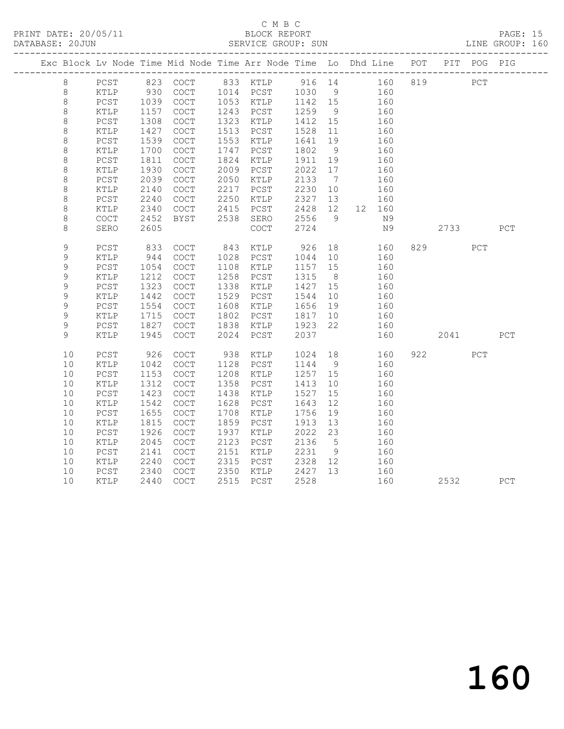PRINT DATE: 20/05/11 BLOCK REPORT BATABASE: 20JUN

### C M B C<br>BLOCK REPORT

PAGE: 15<br>LINE GROUP: 160

|               |      |                 |      |                                            |      | Exc Block Lv Node Time Mid Node Time Arr Node Time Lo Dhd Line POT |         |                |        |     |      | PIT POG PIG |     |
|---------------|------|-----------------|------|--------------------------------------------|------|--------------------------------------------------------------------|---------|----------------|--------|-----|------|-------------|-----|
| 8             |      | PCST            |      |                                            |      | 823 COCT 833 KTLP 916 14 160                                       |         |                |        | 819 |      | PCT         |     |
| 8             |      | KTLP            | 930  | COCT                                       |      | 1014 PCST                                                          | 1030    | 9              | 160    |     |      |             |     |
| $\,8\,$       |      | PCST            | 1039 | COCT                                       |      | 1053 KTLP                                                          | 1142 15 |                | 160    |     |      |             |     |
| $\,8\,$       |      | KTLP            | 1157 | $\mathtt{C}\mathtt{O}\mathtt{C}\mathtt{T}$ | 1243 | PCST                                                               | 1259    | 9              | 160    |     |      |             |     |
| $\,8\,$       |      | PCST            | 1308 | COCT                                       | 1323 | KTLP                                                               | 1412    | 15             | 160    |     |      |             |     |
| $\,8\,$       |      | KTLP            | 1427 | $\operatorname{COT}$                       | 1513 | PCST                                                               | 1528    | 11             | 160    |     |      |             |     |
| $\,8\,$       |      | $PCST$          | 1539 | COCT                                       | 1553 | KTLP                                                               | 1641    | 19             | 160    |     |      |             |     |
| 8             |      | KTLP            | 1700 | COCT                                       | 1747 | PCST                                                               | 1802    | 9              | 160    |     |      |             |     |
| $\,8\,$       |      | PCST            | 1811 | $\operatorname{COT}$                       | 1824 | KTLP                                                               | 1911    | 19             | 160    |     |      |             |     |
| $\,8\,$       |      | KTLP            | 1930 | COCT                                       | 2009 | PCST                                                               | 2022    | 17             | 160    |     |      |             |     |
| 8             |      | PCST            | 2039 | COCT                                       | 2050 | KTLP                                                               | 2133    | $\overline{7}$ | 160    |     |      |             |     |
| $\,8\,$       |      | KTLP            | 2140 | COCT                                       | 2217 | PCST                                                               | 2230    | 10             | 160    |     |      |             |     |
| $\,8\,$       |      | $PCST$          | 2240 | $\operatorname{COT}$                       | 2250 | KTLP                                                               | 2327    | 13             | 160    |     |      |             |     |
| $\,8\,$       |      | KTLP            | 2340 | $\mathtt{C}\mathtt{O}\mathtt{C}\mathtt{T}$ | 2415 | PCST                                                               | 2428    | 12             | 12 160 |     |      |             |     |
| $\,8\,$       |      | COCT            | 2452 | <b>BYST</b>                                | 2538 | SERO                                                               | 2556    | 9              | N9     |     |      |             |     |
| 8             |      | SERO            | 2605 |                                            |      | $\mathtt{C}\mathtt{O}\mathtt{C}\mathtt{T}$                         | 2724    |                | N9     |     | 2733 |             | PCT |
| 9             |      | $PCST$          | 833  | $\operatorname{COT}$                       | 843  | KTLP                                                               | 926     | 18             | 160    |     | 829  | PCT         |     |
| $\mathsf 9$   |      | $\verb KTLP $   | 944  | $\mathtt{C}\mathtt{O}\mathtt{C}\mathtt{T}$ | 1028 | PCST                                                               | 1044    | 10             | 160    |     |      |             |     |
| $\mathcal{G}$ |      | PCST            | 1054 | COCT                                       | 1108 | KTLP                                                               | 1157    | 15             | 160    |     |      |             |     |
| $\mathsf 9$   |      | $\verb KTLP $   | 1212 | $\mathtt{C}\mathtt{O}\mathtt{C}\mathtt{T}$ | 1258 | PCST                                                               | 1315    | 8 <sup>8</sup> | 160    |     |      |             |     |
| 9             |      | $PCST$          | 1323 | COCT                                       | 1338 | KTLP                                                               | 1427    | 15             | 160    |     |      |             |     |
| 9             |      | KTLP            | 1442 | COCT                                       | 1529 | PCST                                                               | 1544    | 10             | 160    |     |      |             |     |
| 9             |      | PCST            | 1554 | COCT                                       | 1608 | KTLP                                                               | 1656    | 19             | 160    |     |      |             |     |
| $\mathsf 9$   |      | KTLP            | 1715 | $\operatorname{COT}$                       | 1802 | PCST                                                               | 1817    | 10             | 160    |     |      |             |     |
| 9             |      | $PCST$          | 1827 | $\mathtt{C}\mathtt{O}\mathtt{C}\mathtt{T}$ | 1838 | KTLP                                                               | 1923    | 22             | 160    |     |      |             |     |
| 9             |      | KTLP            | 1945 | COCT                                       | 2024 | PCST                                                               | 2037    |                | 160    |     | 2041 |             | PCT |
|               | $10$ | $PCST$          | 926  | COCT                                       | 938  | KTLP                                                               | 1024    | 18             | 160    |     | 922  | PCT         |     |
|               | 10   | KTLP            | 1042 | COCT                                       | 1128 | PCST                                                               | 1144    | 9              | 160    |     |      |             |     |
|               | 10   | PCST            | 1153 | COCT                                       | 1208 | KTLP                                                               | 1257    | 15             | 160    |     |      |             |     |
|               | 10   | KTLP            | 1312 | COCT                                       | 1358 | PCST                                                               | 1413    | 10             | 160    |     |      |             |     |
|               | 10   | PCST            | 1423 | COCT                                       | 1438 | KTLP                                                               | 1527    | 15             | 160    |     |      |             |     |
|               | 10   | KTLP            | 1542 | COCT                                       | 1628 | PCST                                                               | 1643    | 12             | 160    |     |      |             |     |
|               | 10   | $PCST$          | 1655 | $\mathtt{C}\mathtt{O}\mathtt{C}\mathtt{T}$ | 1708 | KTLP                                                               | 1756    | 19             | 160    |     |      |             |     |
|               | 10   | KTLP            | 1815 | COCT                                       | 1859 | PCST                                                               | 1913    | 13             | 160    |     |      |             |     |
|               | 10   | $PCST$          | 1926 | COCT                                       | 1937 | KTLP                                                               | 2022    | 23             | 160    |     |      |             |     |
|               | 10   | KTLP            | 2045 | COCT                                       | 2123 | PCST                                                               | 2136    | $5\phantom{0}$ | 160    |     |      |             |     |
|               | 10   | PCST            | 2141 | COCT                                       | 2151 | KTLP                                                               | 2231    | 9              | 160    |     |      |             |     |
|               | 10   | $\texttt{KTLP}$ | 2240 | COCT                                       | 2315 | PCST                                                               | 2328    | 12             | 160    |     |      |             |     |
|               | 10   | $PCST$          | 2340 | COCT                                       | 2350 | KTLP                                                               | 2427    | 13             | 160    |     |      |             |     |
|               | 10   | KTLP            | 2440 | COCT                                       | 2515 | PCST                                                               | 2528    |                | 160    |     | 2532 |             | PCT |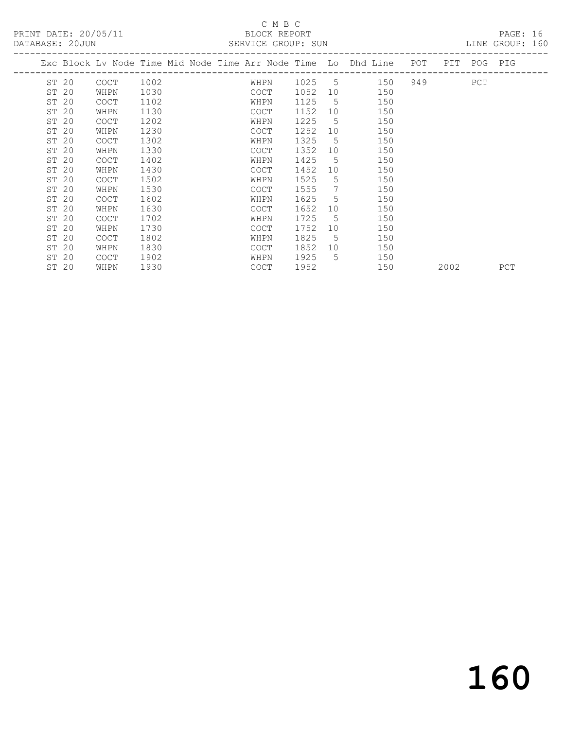### C M B C

| DATABASE: 20JUN |                                                                    |      |  |             | SERVICE GROUP: SUN |                 |     |     |             | LINE GROUP: 160 |  |
|-----------------|--------------------------------------------------------------------|------|--|-------------|--------------------|-----------------|-----|-----|-------------|-----------------|--|
|                 | Exc Block Lv Node Time Mid Node Time Arr Node Time Lo Dhd Line POT |      |  |             |                    |                 |     |     | PIT POG PIG |                 |  |
| ST 20           | COCT                                                               | 1002 |  | WHPN        | 1025 5             |                 | 150 | 949 | PCT         |                 |  |
| ST 20           | WHPN                                                               | 1030 |  | COCT        | 1052               | 10              | 150 |     |             |                 |  |
| ST 20           | <b>COCT</b>                                                        | 1102 |  | WHPN        | 1125               | $5^{\circ}$     | 150 |     |             |                 |  |
| ST 20           | WHPN                                                               | 1130 |  | <b>COCT</b> | 1152               | 10              | 150 |     |             |                 |  |
| ST 20           | <b>COCT</b>                                                        | 1202 |  | WHPN        | 1225               | $5^{\circ}$     | 150 |     |             |                 |  |
| ST 20           | WHPN                                                               | 1230 |  | COCT        | 1252               | 10              | 150 |     |             |                 |  |
| ST 20           | <b>COCT</b>                                                        | 1302 |  | WHPN        | 1325               | $5^{\circ}$     | 150 |     |             |                 |  |
| ST 20           | WHPN                                                               | 1330 |  | COCT        | 1352               | 10              | 150 |     |             |                 |  |
| ST 20           | <b>COCT</b>                                                        | 1402 |  | WHPN        | 1425               | $5^{\circ}$     | 150 |     |             |                 |  |
| ST 20           | WHPN                                                               | 1430 |  | COCT        | 1452               | 10              | 150 |     |             |                 |  |
| ST 20           | <b>COCT</b>                                                        | 1502 |  | WHPN        | 1525               | 5               | 150 |     |             |                 |  |
| ST 20           | WHPN                                                               | 1530 |  | COCT        | 1555               | $7\phantom{.0}$ | 150 |     |             |                 |  |
| ST 20           | <b>COCT</b>                                                        | 1602 |  | WHPN        | 1625               | 5               | 150 |     |             |                 |  |
| ST 20           | WHPN                                                               | 1630 |  | COCT        | 1652               | 10              | 150 |     |             |                 |  |
| ST 20           | <b>COCT</b>                                                        | 1702 |  | WHPN        | 1725               | 5               | 150 |     |             |                 |  |
| ST 20           | WHPN                                                               | 1730 |  | <b>COCT</b> | 1752               | 10              | 150 |     |             |                 |  |
| ST 20           | <b>COCT</b>                                                        | 1802 |  | WHPN        | 1825               | $5^{\circ}$     | 150 |     |             |                 |  |
| ST 20           | WHPN                                                               | 1830 |  | COCT        | 1852 10            |                 | 150 |     |             |                 |  |

ST 20 COCT 1902 WHPN 1925 5 150

ST 20 WHPN 1930 COCT 1952 150 2002 PCT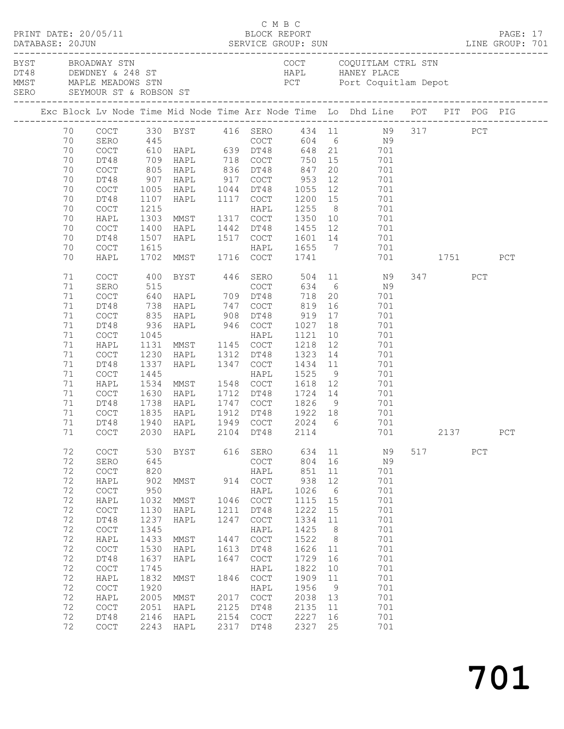|  | DATABASE: 20JUN                                                                                                | PRINT DATE: 20/05/11                                                                                                                                                                       |                                                                                                                                                 |                                                                                                                                                                                                    |                                                                                                    | C M B C<br>BLOCK REPORT                                                                                                                                                                    |                                                                                                                                                     |                                                                                                                    |                                                                                                                                                                                           |     |                 |     | PAGE: 17   |  |
|--|----------------------------------------------------------------------------------------------------------------|--------------------------------------------------------------------------------------------------------------------------------------------------------------------------------------------|-------------------------------------------------------------------------------------------------------------------------------------------------|----------------------------------------------------------------------------------------------------------------------------------------------------------------------------------------------------|----------------------------------------------------------------------------------------------------|--------------------------------------------------------------------------------------------------------------------------------------------------------------------------------------------|-----------------------------------------------------------------------------------------------------------------------------------------------------|--------------------------------------------------------------------------------------------------------------------|-------------------------------------------------------------------------------------------------------------------------------------------------------------------------------------------|-----|-----------------|-----|------------|--|
|  |                                                                                                                | BYST BROADWAY STN                                                                                                                                                                          |                                                                                                                                                 | DT48 DEWDNEY & 248 ST<br>MMST MAPLE MEADOWS STN<br>SERO SEYMOUR ST & ROBSON ST                                                                                                                     |                                                                                                    |                                                                                                                                                                                            |                                                                                                                                                     |                                                                                                                    | COCT COQUITLAM CTRL STN<br>HAPL HANEY PLACE<br>PCT Port Coquitlam Depot                                                                                                                   |     |                 |     |            |  |
|  |                                                                                                                |                                                                                                                                                                                            |                                                                                                                                                 |                                                                                                                                                                                                    |                                                                                                    |                                                                                                                                                                                            |                                                                                                                                                     |                                                                                                                    | Exc Block Lv Node Time Mid Node Time Arr Node Time Lo Dhd Line POT PIT POG PIG                                                                                                            |     |                 |     |            |  |
|  | 70<br>70<br>70<br>70<br>70<br>70<br>70<br>70<br>70<br>70<br>70<br>70                                           | DT48<br>COCT<br>DT48<br>COCT<br>DT48<br>COCT<br>HAPL<br>COCT<br>DT48                                                                                                                       | 1107<br>1400<br>1507                                                                                                                            | 709 HAPL       718   COCT<br>805   HAPL       836   DT48<br>907   HAPL        917   COCT<br>1005 HAPL 1044 DT48<br>HAPL<br>1215 HAPL<br>1303 MMST 1317 COCT<br>HAPL<br>HAPL                        |                                                                                                    | 1117 COCT<br>1442 DT48<br>1517 COCT                                                                                                                                                        | 750 15<br>847<br>953<br>1055<br>1200 15<br>1255<br>1350<br>1455 12<br>1601 14                                                                       | 20<br>12<br>12<br>8 <sup>8</sup>                                                                                   | COCT 330 BYST 416 SERO 434 11 N9 317 PCT<br>SERO 445 COCT 604 6 N9<br>COCT 610 HAPL 639 DT48 648 21 701<br>701<br>701<br>701<br>701<br>701<br>701<br>$\overline{10}$<br>701<br>701<br>701 |     |                 |     |            |  |
|  | 70                                                                                                             | COCT                                                                                                                                                                                       | 1615                                                                                                                                            | 1615 HAPL<br>1702 MMST 1716 COCT                                                                                                                                                                   |                                                                                                    |                                                                                                                                                                                            | 1655 7<br>1741                                                                                                                                      |                                                                                                                    | 701                                                                                                                                                                                       |     |                 |     |            |  |
|  | 70<br>71<br>71<br>71<br>71<br>71<br>71<br>71<br>71<br>71<br>71<br>71<br>71<br>71<br>71<br>71<br>71<br>$71\,$   | HAPL<br>COCT<br>SERO<br>COCT<br>DT48<br>COCT<br>DT48<br>COCT<br>HAPL<br>COCT<br>DT48<br>COCT<br>HAPL<br>COCT<br>DT48<br>COCT<br>DT48                                                       | 400<br>835<br>936<br>1045<br>1131<br>1230<br>1337<br>1445<br>1630<br>1738                                                                       | BYST 446 SERO<br>$738$ HAPL $747$<br>HAPL 908<br>HAPL 946 COCT<br>MMST 1145 COCT<br>HAPL<br>HAPL<br>1534 MMST 1548 COCT<br>HAPL<br>HAPL<br>1835 HAPL<br>1940 HAPL<br>COCT 2030 HAPL 2104 DT48 2114 |                                                                                                    | COCT<br>DT48<br>HAPL<br>1312 DT48<br>1347 COCT<br>HAPL<br>1712 DT48<br>1747 COCT<br>1912 DT48<br>1949 COCT                                                                                 | $634$ 6<br>718<br>819<br>919<br>1027 18<br>1121<br>1218<br>1323<br>1434<br>1525<br>1618<br>1724 14<br>1826<br>1922 18<br>2024 6                     | 20<br>16<br>17<br>10<br>12<br>14<br>11<br>9<br>12                                                                  | 701 1751<br>504 11 N9<br>N9<br>701<br>701<br>701<br>701<br>701<br>701<br>701<br>701<br>701<br>701<br>701<br>9<br>701<br>$701$<br>701                                                      |     | 347<br>701 2137 | PCT | PCT<br>PCT |  |
|  | 72<br>72<br>72<br>72<br>72<br>72<br>72<br>72<br>72<br>72<br>72<br>72<br>72<br>72<br>72<br>72<br>72<br>72<br>72 | COCT<br>SERO<br>COCT<br>HAPL<br>COCT<br>HAPL<br>COCT<br>DT48<br>COCT<br>HAPL<br>$\mathtt{C}\mathtt{O}\mathtt{C}\mathtt{T}$<br>DT48<br>COCT<br>HAPL<br>COCT<br>HAPL<br>COCT<br>DT48<br>COCT | 530<br>645<br>820<br>902<br>950<br>1032<br>1130<br>1237<br>1345<br>1433<br>1530<br>1637<br>1745<br>1832<br>1920<br>2005<br>2051<br>2146<br>2243 | BYST<br>MMST<br>MMST<br>HAPL<br>HAPL<br>MMST<br>HAPL<br>HAPL<br>MMST<br>MMST<br>HAPL<br>HAPL<br>HAPL                                                                                               | 616<br>914<br>1046<br>1211<br>1247<br>1447<br>1613<br>1647<br>1846<br>2017<br>2125<br>2154<br>2317 | SERO<br>COCT<br>HAPL<br>COCT<br>HAPL<br>COCT<br>DT48<br>COCT<br>HAPL<br>COCT<br>DT48<br>COCT<br>HAPL<br>COCT<br>HAPL<br>$\mathtt{C}\mathtt{O}\mathtt{C}\mathtt{T}$<br>DT48<br>COCT<br>DT48 | 634<br>804<br>851<br>938<br>1026<br>1115<br>1222<br>1334<br>1425<br>1522<br>1626<br>1729<br>1822<br>1909<br>1956<br>2038<br>2135<br>2227<br>2327 25 | 11<br>16<br>11<br>12<br>$6\overline{6}$<br>15<br>15<br>11<br>8<br>8<br>11<br>16<br>10<br>11<br>9<br>13<br>11<br>16 | N9<br>N9<br>701<br>701<br>701<br>701<br>701<br>701<br>701<br>701<br>701<br>701<br>701<br>701<br>701<br>701<br>701<br>701<br>701                                                           | 517 |                 | PCT |            |  |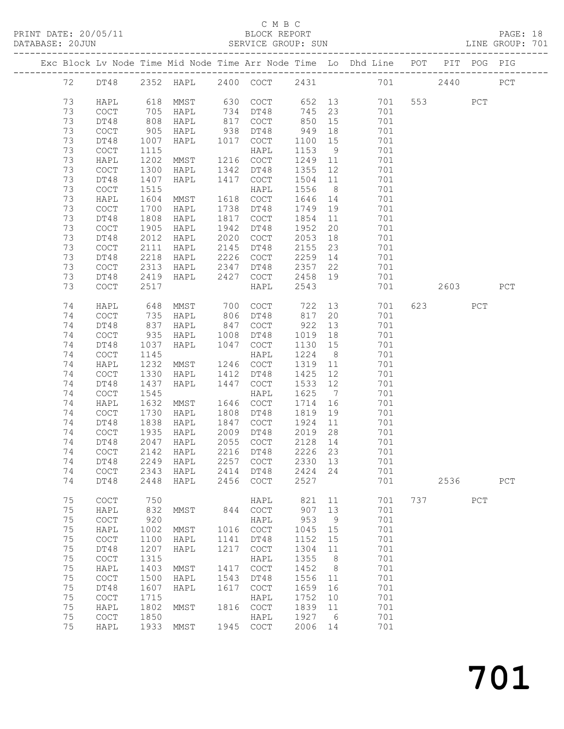### C M B C<br>BLOCK REPORT

|    |                                            |            |                                     |      |                                            |                           |                 |                                                                                |     |                        |     | PAGE: 18<br>LINE GROUP: 701 |  |
|----|--------------------------------------------|------------|-------------------------------------|------|--------------------------------------------|---------------------------|-----------------|--------------------------------------------------------------------------------|-----|------------------------|-----|-----------------------------|--|
|    |                                            |            |                                     |      |                                            |                           |                 | Exc Block Lv Node Time Mid Node Time Arr Node Time Lo Dhd Line POT PIT POG PIG |     |                        |     |                             |  |
|    |                                            |            |                                     |      |                                            |                           |                 | 72 DT48 2352 HAPL 2400 COCT 2431 701 2440                                      |     |                        |     | PCT                         |  |
| 73 | HAPL                                       |            |                                     |      |                                            |                           |                 | 618 MMST 630 COCT 652 13 701 553 PCT                                           |     |                        |     |                             |  |
| 73 | COCT                                       |            | HAPL                                |      | 734 DT48                                   |                           |                 | 701                                                                            |     |                        |     |                             |  |
| 73 | DT48                                       | 705<br>808 | HAPL                                |      | 817 COCT                                   | $745$ 23<br>850 15<br>850 | 15              | 701                                                                            |     |                        |     |                             |  |
| 73 | $\mathtt{C}\mathtt{O}\mathtt{C}\mathtt{T}$ | 905        | HAPL                                |      | 938 DT48                                   | 949 18                    |                 | 701                                                                            |     |                        |     |                             |  |
| 73 | DT48                                       | 1007       | HAPL                                | 1017 | COCT                                       | 1100                      |                 | 15<br>701                                                                      |     |                        |     |                             |  |
| 73 | $\mathtt{C}\mathtt{O}\mathtt{C}\mathtt{T}$ | 1115       |                                     |      | HAPL                                       | 1153                      | 9               | 701                                                                            |     |                        |     |                             |  |
| 73 | HAPL                                       | 1202       | <b>MMST</b>                         |      | 1216 COCT                                  | 1249 11                   |                 | 701                                                                            |     |                        |     |                             |  |
| 73 | $\mathtt{C}\mathtt{O}\mathtt{C}\mathtt{T}$ | 1300       | HAPL                                | 1342 | DT48                                       | 1355                      |                 | 12<br>701                                                                      |     |                        |     |                             |  |
| 73 | DT48                                       | 1407       | HAPL                                | 1417 | COCT                                       | 1504 11                   |                 | 701                                                                            |     |                        |     |                             |  |
| 73 | COCT                                       | 1515       |                                     |      | HAPL                                       | 1556                      |                 | 8 <sup>1</sup><br>701                                                          |     |                        |     |                             |  |
| 73 | HAPL                                       | 1604       | <b>MMST</b>                         |      | 1618 COCT                                  | 1646 14                   |                 | 701                                                                            |     |                        |     |                             |  |
| 73 | COCT                                       | 1700       | HAPL                                | 1738 | DT48                                       | 1749                      | 19              | 701                                                                            |     |                        |     |                             |  |
| 73 | DT48                                       | 1808       | HAPL                                | 1817 | COCT                                       | 1854 11                   |                 | 701                                                                            |     |                        |     |                             |  |
| 73 | COCT                                       | 1905       | HAPL                                | 1942 | DT48                                       | 1952                      |                 | 20<br>701                                                                      |     |                        |     |                             |  |
| 73 | DT48                                       | 2012       | HAPL                                | 2020 | COCT                                       | 2053                      |                 | 701                                                                            |     |                        |     |                             |  |
| 73 | COCT                                       | 2111       | HAPL                                | 2145 | DT48                                       | 2155                      |                 | $\frac{18}{23}$<br>701                                                         |     |                        |     |                             |  |
| 73 | DT48                                       | 2218       | HAPL                                | 2226 | COCT                                       |                           |                 | 2259 14<br>701                                                                 |     |                        |     |                             |  |
| 73 | COCT                                       | 2313       | HAPL 2347                           |      | DT48                                       | 2357                      |                 | 22<br>701                                                                      |     |                        |     |                             |  |
| 73 | DT48                                       | 2419       | HAPL                                | 2427 | COCT                                       | 2458                      |                 | 19<br>701                                                                      |     |                        |     |                             |  |
| 73 | COCT                                       | 2517       |                                     |      | HAPL                                       | 2543                      |                 | 701                                                                            |     | 2603                   |     | PCT                         |  |
| 74 | HAPL                                       | 648        | MMST                                | 700  | COCT                                       | 722                       |                 | 13 and $\overline{\phantom{a}}$<br>701                                         |     | 623 and $\overline{a}$ | PCT |                             |  |
| 74 | COCT                                       |            | HAPL                                |      | 806 DT48                                   |                           | 20              | 701                                                                            |     |                        |     |                             |  |
| 74 | DT48                                       | 735<br>837 | HAPL                                | 847  | COCT                                       | 817<br>922                | 13              | 701                                                                            |     |                        |     |                             |  |
| 74 | $\mathtt{C}\mathtt{O}\mathtt{C}\mathtt{T}$ | 935        | HAPL                                | 1008 | DT48                                       | 1019 18                   |                 | 701                                                                            |     |                        |     |                             |  |
| 74 | DT48                                       | 1037       | HAPL                                | 1047 | COCT                                       | 1130                      | 15              | 701                                                                            |     |                        |     |                             |  |
| 74 | $\mathtt{C}\mathtt{O}\mathtt{C}\mathtt{T}$ | 1145       |                                     |      | HAPL                                       | 1224                      | 8 <sup>8</sup>  | 701                                                                            |     |                        |     |                             |  |
| 74 | HAPL                                       | 1232       | MMST                                |      | 1246 COCT                                  | 1319                      | 11              | 701                                                                            |     |                        |     |                             |  |
| 74 | COCT                                       | 1330       | HAPL                                | 1412 | DT48                                       | 1425                      | 12              | 701                                                                            |     |                        |     |                             |  |
| 74 | DT48                                       | 1437       | HAPL                                | 1447 | COCT                                       | 1533 12                   |                 | 701                                                                            |     |                        |     |                             |  |
| 74 | COCT                                       | 1545       |                                     |      | HAPL                                       | 1625                      | $7\overline{)}$ | 701                                                                            |     |                        |     |                             |  |
| 74 | HAPL                                       | 1632       | MMST                                |      | 1646 COCT                                  | 1714 16                   |                 | 701                                                                            |     |                        |     |                             |  |
| 74 | COCT                                       | 1730       | HAPL                                |      | 1808 DT48                                  | 1819 19                   |                 | 701                                                                            |     |                        |     |                             |  |
| 74 | DT48                                       | 1838       | HAPL                                |      | 1847 COCT                                  | 1924 11                   |                 | 701                                                                            |     |                        |     |                             |  |
| 74 | COCT                                       | 1935       | HAPL                                | 2009 | DT48                                       | 2019 28                   |                 | 701                                                                            |     |                        |     |                             |  |
|    |                                            |            | 74 DT48 2047 HAPL 2055 COCT 2128 14 |      |                                            |                           |                 | 701                                                                            |     |                        |     |                             |  |
| 74 | COCT                                       | 2142       | HAPL                                | 2216 | DT48                                       | 2226                      | 23              | 701                                                                            |     |                        |     |                             |  |
| 74 | DT48                                       | 2249       | HAPL                                | 2257 | $\mathtt{C}\mathtt{O}\mathtt{C}\mathtt{T}$ | 2330                      | 13              | 701                                                                            |     |                        |     |                             |  |
| 74 | COCT                                       | 2343       | HAPL                                | 2414 | DT48                                       | 2424                      | 24              | 701                                                                            |     |                        |     |                             |  |
| 74 | DT48                                       | 2448       | HAPL                                | 2456 | $\mathtt{C}\mathtt{O}\mathtt{C}\mathtt{T}$ | 2527                      |                 | 701                                                                            |     | 2536                   |     | PCT                         |  |
| 75 | COCT                                       | 750        |                                     |      | HAPL                                       | 821                       | 11              | 701                                                                            | 737 |                        | PCT |                             |  |
| 75 | HAPL                                       | 832        | MMST                                | 844  | COCT                                       | 907                       | 13              | 701                                                                            |     |                        |     |                             |  |
| 75 | $\mathtt{C}\mathtt{O}\mathtt{C}\mathtt{T}$ | 920        |                                     |      | HAPL                                       | 953                       | 9               | 701                                                                            |     |                        |     |                             |  |
| 75 | HAPL                                       | 1002       | MMST                                | 1016 | $\mathtt{C}\mathtt{O}\mathtt{C}\mathtt{T}$ | 1045                      | 15              | 701                                                                            |     |                        |     |                             |  |
| 75 | COCT                                       | 1100       | HAPL                                | 1141 | DT48                                       | 1152                      | 15              | 701                                                                            |     |                        |     |                             |  |
| 75 | DT48                                       | 1207       | HAPL                                | 1217 | COCT                                       | 1304                      | 11              | 701                                                                            |     |                        |     |                             |  |
| 75 | $\operatorname{COCT}$                      | 1315       |                                     |      | HAPL                                       | 1355                      | 8               | 701                                                                            |     |                        |     |                             |  |
| 75 | HAPL                                       | 1403       | MMST                                | 1417 | $_{\mathrm{COT}}$                          | 1452                      | 8               | 701                                                                            |     |                        |     |                             |  |
| 75 | $\mathtt{C}\mathtt{O}\mathtt{C}\mathtt{T}$ | 1500       | HAPL                                | 1543 | DT48                                       | 1556                      | 11              | 701                                                                            |     |                        |     |                             |  |
| 75 | DT48                                       | 1607       | HAPL                                | 1617 | COCT                                       | 1659                      | 16              | 701                                                                            |     |                        |     |                             |  |
| 75 | $\mathtt{C}\mathtt{O}\mathtt{C}\mathtt{T}$ | 1715       |                                     |      | HAPL                                       | 1752                      | 10              | 701                                                                            |     |                        |     |                             |  |
| 75 | HAPL                                       | 1802       | MMST                                | 1816 | $\mathtt{C}\mathtt{O}\mathtt{C}\mathtt{T}$ | 1839                      | 11              | 701                                                                            |     |                        |     |                             |  |
| 75 | $\mathtt{C}\mathtt{O}\mathtt{C}\mathtt{T}$ | 1850       |                                     |      | HAPL                                       | 1927                      | 6               | 701                                                                            |     |                        |     |                             |  |
| 75 | HAPL                                       | 1933       | MMST                                | 1945 | COCT                                       | 2006                      | 14              | 701                                                                            |     |                        |     |                             |  |
|    |                                            |            |                                     |      |                                            |                           |                 |                                                                                |     |                        |     |                             |  |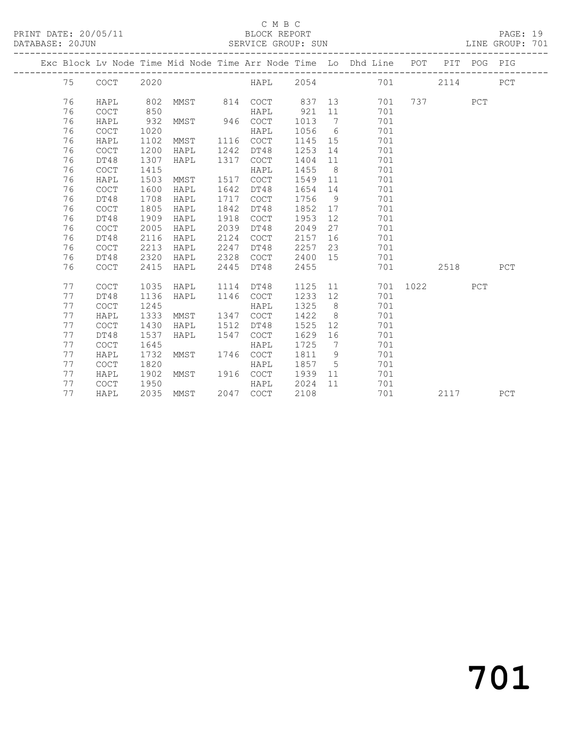PRINT DATE: 20/05/11 BLOCK REPORT BATABASE: 20JUN

### C M B C<br>BLOCK REPORT

### PAGE: 19<br>LINE GROUP: 701

|  |    |                                            |      |      |      | -----------------------                    |      |                              | Exc Block Lv Node Time Mid Node Time Arr Node Time Lo Dhd Line POT |      |          | PIT POG PIG |             |
|--|----|--------------------------------------------|------|------|------|--------------------------------------------|------|------------------------------|--------------------------------------------------------------------|------|----------|-------------|-------------|
|  | 75 | COCT                                       | 2020 |      |      | HAPL                                       | 2054 |                              | 701                                                                |      | 2114     |             | PCT         |
|  | 76 | HAPL                                       | 802  | MMST | 814  | COCT                                       | 837  | 13                           | 701                                                                |      | 737 — 17 | PCT         |             |
|  | 76 | <b>COCT</b>                                | 850  |      |      | HAPL                                       | 921  | 11                           | 701                                                                |      |          |             |             |
|  | 76 | HAPL                                       | 932  | MMST | 946  | <b>COCT</b>                                | 1013 | $7\phantom{.0}\phantom{.0}7$ | 701                                                                |      |          |             |             |
|  | 76 | <b>COCT</b>                                | 1020 |      |      | HAPL                                       | 1056 | 6                            | 701                                                                |      |          |             |             |
|  | 76 | HAPL                                       | 1102 | MMST | 1116 | <b>COCT</b>                                | 1145 | 15                           | 701                                                                |      |          |             |             |
|  | 76 | <b>COCT</b>                                | 1200 | HAPL | 1242 | DT48                                       | 1253 | 14                           | 701                                                                |      |          |             |             |
|  | 76 | DT48                                       | 1307 | HAPL | 1317 | COCT                                       | 1404 | 11                           | 701                                                                |      |          |             |             |
|  | 76 | $\mathtt{C}\mathtt{O}\mathtt{C}\mathtt{T}$ | 1415 |      |      | HAPL                                       | 1455 | 8 <sup>8</sup>               | 701                                                                |      |          |             |             |
|  | 76 | HAPL                                       | 1503 | MMST | 1517 | COCT                                       | 1549 | 11                           | 701                                                                |      |          |             |             |
|  | 76 | <b>COCT</b>                                | 1600 | HAPL | 1642 | DT48                                       | 1654 | 14                           | 701                                                                |      |          |             |             |
|  | 76 | DT48                                       | 1708 | HAPL | 1717 | <b>COCT</b>                                | 1756 | 9                            | 701                                                                |      |          |             |             |
|  | 76 | <b>COCT</b>                                | 1805 | HAPL | 1842 | DT48                                       | 1852 | 17                           | 701                                                                |      |          |             |             |
|  | 76 | DT48                                       | 1909 | HAPL | 1918 | <b>COCT</b>                                | 1953 | 12                           | 701                                                                |      |          |             |             |
|  | 76 | <b>COCT</b>                                | 2005 | HAPL | 2039 | DT48                                       | 2049 | 27                           | 701                                                                |      |          |             |             |
|  | 76 | DT48                                       | 2116 | HAPL | 2124 | $\mathtt{C}\mathtt{O}\mathtt{C}\mathtt{T}$ | 2157 | 16                           | 701                                                                |      |          |             |             |
|  | 76 | COCT                                       | 2213 | HAPL | 2247 | DT48                                       | 2257 | 23                           | 701                                                                |      |          |             |             |
|  | 76 | DT48                                       | 2320 | HAPL | 2328 | COCT                                       | 2400 | 15                           | 701                                                                |      |          |             |             |
|  | 76 | COCT                                       | 2415 | HAPL | 2445 | DT48                                       | 2455 |                              | 701                                                                |      | 2518     |             | ${\tt PCT}$ |
|  | 77 | <b>COCT</b>                                | 1035 | HAPL | 1114 | DT48                                       | 1125 | 11                           | 701                                                                | 1022 |          | PCT         |             |
|  | 77 | DT48                                       | 1136 | HAPL | 1146 | <b>COCT</b>                                | 1233 | 12                           | 701                                                                |      |          |             |             |
|  | 77 | <b>COCT</b>                                | 1245 |      |      | HAPL                                       | 1325 | 8 <sup>8</sup>               | 701                                                                |      |          |             |             |
|  | 77 | HAPL                                       | 1333 | MMST | 1347 | <b>COCT</b>                                | 1422 | 8 <sup>8</sup>               | 701                                                                |      |          |             |             |
|  | 77 | <b>COCT</b>                                | 1430 | HAPL | 1512 | DT48                                       | 1525 | 12                           | 701                                                                |      |          |             |             |
|  | 77 | DT48                                       | 1537 | HAPL | 1547 | <b>COCT</b>                                | 1629 | 16                           | 701                                                                |      |          |             |             |
|  | 77 | <b>COCT</b>                                | 1645 |      |      | HAPL                                       | 1725 | $7\phantom{.0}\phantom{.0}7$ | 701                                                                |      |          |             |             |
|  | 77 | HAPL                                       | 1732 | MMST |      | 1746 COCT                                  | 1811 | 9                            | 701                                                                |      |          |             |             |
|  | 77 | COCT                                       | 1820 |      |      | HAPL                                       | 1857 | $5^{\circ}$                  | 701                                                                |      |          |             |             |
|  | 77 | HAPL                                       | 1902 | MMST |      | 1916 COCT                                  | 1939 | 11                           | 701                                                                |      |          |             |             |
|  | 77 | $\mathtt{C}\mathtt{O}\mathtt{C}\mathtt{T}$ | 1950 |      |      | HAPL                                       | 2024 | 11                           | 701                                                                |      |          |             |             |
|  | 77 | HAPL                                       | 2035 | MMST |      | 2047 COCT                                  | 2108 |                              | 701                                                                |      | 2117     |             | PCT         |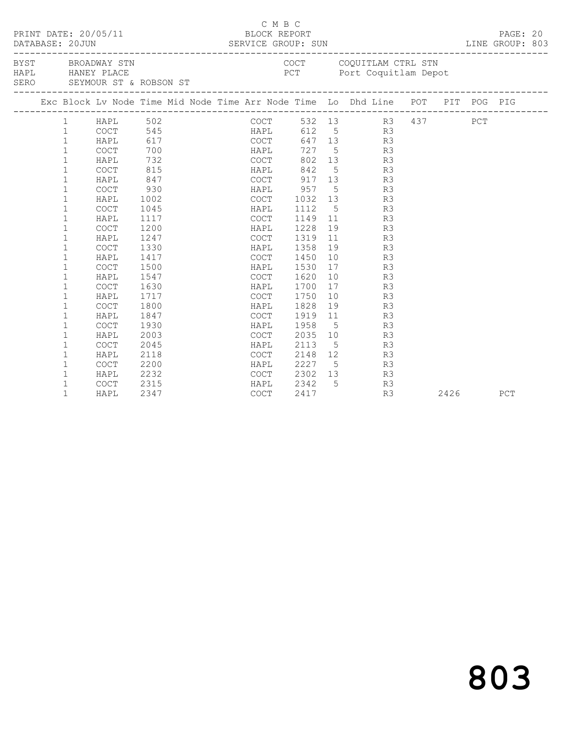|  |              | PRINT DATE: 20/05/11                                                 |      |      | C M B C<br>BLOCK REPORT                    |      |    |                                                                                |  |      | PAGE: 20<br>LINE GROUP: 803 |  |
|--|--------------|----------------------------------------------------------------------|------|------|--------------------------------------------|------|----|--------------------------------------------------------------------------------|--|------|-----------------------------|--|
|  |              | BYST BROADWAY STN<br>HAPL HANEY PLACE<br>SERO SEYMOUR ST & ROBSON ST |      |      |                                            |      |    | COCT COQUITLAM CTRL STN<br>PCT Port Coquitlam Depot                            |  |      |                             |  |
|  |              |                                                                      |      |      |                                            |      |    | Exc Block Lv Node Time Mid Node Time Arr Node Time Lo Dhd Line POT PIT POG PIG |  |      |                             |  |
|  |              |                                                                      |      |      |                                            |      |    | COCT 532 13 R3 437 PCT<br>HAPL 612 5 R3<br>COCT 647 13 R3                      |  |      |                             |  |
|  |              |                                                                      |      |      |                                            |      |    |                                                                                |  |      |                             |  |
|  |              |                                                                      |      |      |                                            |      |    |                                                                                |  |      |                             |  |
|  |              |                                                                      |      |      | HAPL                                       |      |    | 727 5 R3                                                                       |  |      |                             |  |
|  | $\mathbf{1}$ | HAPL                                                                 | 732  |      | COCT                                       |      |    | 802 13 R3                                                                      |  |      |                             |  |
|  | $\mathbf{1}$ | COCT                                                                 | 815  |      |                                            |      |    | HAPL 842 5 R3                                                                  |  |      |                             |  |
|  | $\mathbf{1}$ | HAPL                                                                 | 847  |      |                                            |      |    | COCT 917 13 R3                                                                 |  |      |                             |  |
|  | $\mathbf{1}$ | COCT                                                                 | 930  |      |                                            |      |    | HAPL 957 5 R3                                                                  |  |      |                             |  |
|  | $\mathbf 1$  | HAPL                                                                 | 1002 |      |                                            |      |    | COCT 1032 13 R3                                                                |  |      |                             |  |
|  | $\mathbf{1}$ | COCT                                                                 | 1045 |      | <b>HAPL</b>                                | 1112 |    | 5 <sub>1</sub><br>R3                                                           |  |      |                             |  |
|  | 1            | HAPL                                                                 | 1117 |      | COCT                                       |      |    | 1149 11 R3                                                                     |  |      |                             |  |
|  | $\mathbf{1}$ | COCT                                                                 | 1200 |      | HAPL                                       | 1228 |    | 19 R3                                                                          |  |      |                             |  |
|  | $\mathbf 1$  | HAPL                                                                 | 1247 |      | COCT                                       | 1319 |    | 11 R3                                                                          |  |      |                             |  |
|  | $\mathbf{1}$ | COCT                                                                 | 1330 |      | HAPL                                       | 1358 | 19 | R3                                                                             |  |      |                             |  |
|  | 1            | HAPL                                                                 | 1417 |      | COCT                                       | 1450 | 10 | R3                                                                             |  |      |                             |  |
|  | $\mathbf 1$  | COCT                                                                 | 1500 |      | HAPL                                       | 1530 |    | R3<br>17                                                                       |  |      |                             |  |
|  | 1            | HAPL                                                                 | 1547 |      | COCT                                       | 1620 |    | 10<br>R3                                                                       |  |      |                             |  |
|  | $\mathbf{1}$ | <b>COCT</b>                                                          | 1630 |      | HAPL                                       | 1700 |    | 17 R3                                                                          |  |      |                             |  |
|  | 1            | HAPL                                                                 | 1717 |      | COCT 1750                                  |      |    | 10<br>R3                                                                       |  |      |                             |  |
|  | 1            | COCT                                                                 | 1800 | HAPL |                                            | 1828 |    | 19<br>R3                                                                       |  |      |                             |  |
|  | $\mathbf 1$  | HAPL                                                                 | 1847 |      | COCT 1919 11                               |      |    | R3                                                                             |  |      |                             |  |
|  | 1            | COCT                                                                 | 1930 | HAPL |                                            | 1958 |    | $5\overline{}$<br>R3                                                           |  |      |                             |  |
|  | $\mathbf 1$  | HAPL                                                                 | 2003 |      | COCT 2035 10                               |      |    | R3                                                                             |  |      |                             |  |
|  | $\mathbf 1$  | <b>COCT</b>                                                          | 2045 |      | HAPL                                       | 2113 |    | $5\overline{}$<br>R3                                                           |  |      |                             |  |
|  | $\mathbf 1$  | HAPL                                                                 | 2118 |      | COCT                                       |      |    | 2148 12<br>R3                                                                  |  |      |                             |  |
|  | $\mathbf{1}$ | COCT                                                                 | 2200 |      | HAPL 2227 5<br>COCT 2302 13<br>HAPL 2342 5 |      |    | R3                                                                             |  |      |                             |  |
|  | $\mathbf{1}$ | HAPL                                                                 | 2232 |      |                                            |      |    | R3                                                                             |  |      |                             |  |
|  | 1            | COCT                                                                 | 2315 |      |                                            |      |    | R3                                                                             |  |      |                             |  |
|  | $\mathbf{1}$ | HAPL                                                                 | 2347 |      | COCT                                       | 2417 |    | R3                                                                             |  | 2426 | PCT                         |  |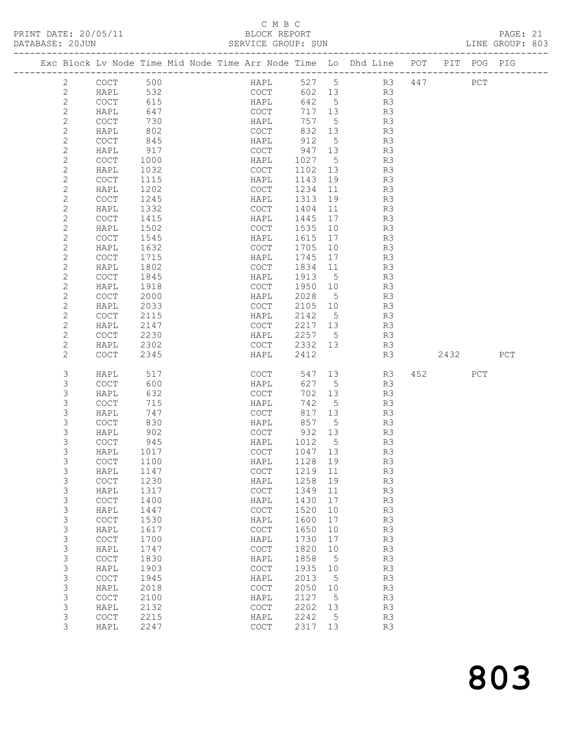| DATABASE: 20JUN |                                            |                                                                                | SERVICE GROUP: SUN                         |         |                 |                |      |     | LINE GROUP: 803 |  |
|-----------------|--------------------------------------------|--------------------------------------------------------------------------------|--------------------------------------------|---------|-----------------|----------------|------|-----|-----------------|--|
|                 |                                            | Exc Block Lv Node Time Mid Node Time Arr Node Time Lo Dhd Line POT PIT POG PIG |                                            |         |                 |                |      |     |                 |  |
| 2               | COCT 500                                   |                                                                                | HAPL                                       |         | 527 5           | R3 447 PCT     |      |     |                 |  |
| 2               | HAPL                                       | 532                                                                            | COCT                                       |         |                 | 602 13 R3      |      |     |                 |  |
| $\mathbf{2}$    | COCT                                       | 615                                                                            | HAPL                                       |         | 642 5           | R3             |      |     |                 |  |
| $\sqrt{2}$      | HAPL                                       | 647                                                                            | COCT                                       |         | 717 13          | R3             |      |     |                 |  |
| $\mathbf{2}$    | COCT                                       | 730                                                                            | HAPL                                       | 757     | $5\overline{)}$ | R3             |      |     |                 |  |
| $\mathbf{2}$    | HAPL                                       | 802                                                                            | COCT                                       | 832 13  |                 | R3             |      |     |                 |  |
| $\mathbf{2}$    | COCT                                       | 845                                                                            | HAPL                                       | 912     | $5^{\circ}$     | R3             |      |     |                 |  |
| $\mathbf{2}$    | HAPL                                       | 917                                                                            | COCT                                       | 947 13  |                 | R3             |      |     |                 |  |
| $\mathbf{2}$    | COCT                                       | 1000                                                                           | HAPL                                       | 1027    | $5\overline{)}$ | R3             |      |     |                 |  |
| $\mathbf{2}$    | HAPL                                       | 1032                                                                           | COCT                                       | 1102 13 |                 | R3             |      |     |                 |  |
| $\mathbf{2}$    | COCT                                       | 1115                                                                           | HAPL                                       | 1143    | 19              | R3             |      |     |                 |  |
| $\mathbf{2}$    | HAPL                                       | 1202                                                                           | COCT                                       | 1234    | 11              | R3             |      |     |                 |  |
| $\mathbf{2}$    | COCT                                       | 1245                                                                           | HAPL                                       | 1313    | 19              | R3             |      |     |                 |  |
| $\mathbf{2}$    | HAPL                                       | 1332                                                                           | COCT                                       | 1404    | 11              | R3             |      |     |                 |  |
| $\mathbf{2}$    | COCT                                       | 1415                                                                           | HAPL                                       | 1445    | 17              | R3             |      |     |                 |  |
| $\mathbf{2}$    | HAPL                                       | 1502                                                                           | COCT                                       | 1535    | 10              | R3             |      |     |                 |  |
| $\mathbf{2}$    | COCT                                       | 1545                                                                           | HAPL                                       | 1615    | 17              | R3             |      |     |                 |  |
| $\mathbf{2}$    | HAPL                                       | 1632                                                                           | COCT                                       | 1705    | 10              | R3             |      |     |                 |  |
| $\mathbf{2}$    | COCT                                       | 1715                                                                           | HAPL                                       | 1745    | 17              | R3             |      |     |                 |  |
| $\mathbf{2}$    | HAPL                                       | 1802                                                                           | COCT                                       | 1834    | 11              | R3             |      |     |                 |  |
| $\mathbf{2}$    | COCT                                       | 1845                                                                           | HAPL                                       | 1913    | $5^{\circ}$     | R3             |      |     |                 |  |
| $\sqrt{2}$      | HAPL                                       | 1918                                                                           | COCT                                       | 1950    | 10              | R3             |      |     |                 |  |
| $\mathbf{2}$    | COCT                                       | 2000                                                                           | HAPL                                       | 2028    | $5^{\circ}$     | R3             |      |     |                 |  |
| $\mathbf{2}$    | HAPL                                       | 2033                                                                           | COCT                                       | 2105    | 10              | R3             |      |     |                 |  |
| $\mathbf{2}$    | COCT                                       | 2115                                                                           | HAPL                                       | 2142 5  |                 | R3             |      |     |                 |  |
| $\mathbf{2}$    | HAPL                                       | 2147                                                                           | COCT                                       | 2217 13 |                 | R3             |      |     |                 |  |
| $\mathbf{2}$    | <b>COCT</b>                                | 2230                                                                           | HAPL                                       | 2257 5  |                 | R3             |      |     |                 |  |
| 2               | HAPL                                       | 2302                                                                           | COCT                                       | 2332 13 |                 | R3             |      |     |                 |  |
| $\mathbf{2}$    | <b>COCT</b>                                | 2345                                                                           | HAPL                                       | 2412    |                 | R3             | 2432 |     | PCT             |  |
| 3               | HAPL                                       | 517                                                                            | COCT                                       | 547     | 13              | R3             | 452  | PCT |                 |  |
| 3               | <b>COCT</b>                                | 600                                                                            | HAPL                                       | 627     | 5               | R3             |      |     |                 |  |
| 3               | HAPL                                       | 632                                                                            | COCT                                       | 702     | 13              | R3             |      |     |                 |  |
| 3               | COCT                                       | 715                                                                            | HAPL                                       | 742     | $5\overline{)}$ | R3             |      |     |                 |  |
| 3               | HAPL                                       | 747                                                                            | COCT                                       |         | 817 13          | R3             |      |     |                 |  |
| 3               | COCT                                       | 830                                                                            | HAPL                                       | 857     | $5^{\circ}$     | R3             |      |     |                 |  |
| 3               | HAPL                                       | 902                                                                            | COCT                                       | 932 13  |                 | R <sub>3</sub> |      |     |                 |  |
| 3               | <b>COCT</b>                                | 945                                                                            | HAPL                                       | 1012    | $5^{\circ}$     | R3             |      |     |                 |  |
| 3               | HAPL 1017                                  |                                                                                | COCT 1047 13                               |         |                 | R3             |      |     |                 |  |
| 3               | COCT                                       | 1100                                                                           | HAPL                                       | 1128    | 19              | R3             |      |     |                 |  |
| 3               | HAPL                                       | 1147                                                                           | COCT                                       | 1219    | 11              | R3             |      |     |                 |  |
| 3               | COCT                                       | 1230                                                                           | HAPL                                       | 1258    | 19              | R3             |      |     |                 |  |
| 3               | HAPL                                       | 1317                                                                           | COCT                                       | 1349    | 11              | R3             |      |     |                 |  |
| 3               | COCT                                       | 1400                                                                           | HAPL                                       | 1430    | 17              | R3             |      |     |                 |  |
| $\mathsf S$     | HAPL                                       | 1447                                                                           | $_{\mathrm{COT}}$                          | 1520    | 10              | R3             |      |     |                 |  |
| 3               | $\mathtt{C}\mathtt{O}\mathtt{C}\mathtt{T}$ | 1530                                                                           | HAPL                                       | 1600    | 17              | R3             |      |     |                 |  |
| 3               | HAPL                                       | 1617                                                                           | $\mathtt{C}\mathtt{O}\mathtt{C}\mathtt{T}$ | 1650    | 10              | R3             |      |     |                 |  |
| 3               | COCT                                       | 1700                                                                           | HAPL                                       | 1730    | 17              | R3             |      |     |                 |  |
| $\mathsf S$     | HAPL                                       | 1747                                                                           | $\mathtt{C}\mathtt{O}\mathtt{C}\mathtt{T}$ | 1820    | 10              | R3             |      |     |                 |  |
| 3               | COCT                                       | 1830                                                                           | HAPL                                       | 1858    | $5^{\circ}$     | R3             |      |     |                 |  |
| 3               | HAPL                                       | 1903                                                                           | $_{\mathrm{COT}}$                          | 1935    | 10              | R3             |      |     |                 |  |
| 3               | $\mathtt{C}\mathtt{O}\mathtt{C}\mathtt{T}$ | 1945                                                                           | HAPL                                       | 2013    | 5               | R3             |      |     |                 |  |
| 3               | HAPL                                       | 2018                                                                           | COCT                                       | 2050    | 10              | R3             |      |     |                 |  |
| 3               | $\mathtt{C}\mathtt{O}\mathtt{C}\mathtt{T}$ | 2100                                                                           | HAPL                                       | 2127    | $-5$            | R3             |      |     |                 |  |
| 3               | HAPL                                       | 2132                                                                           | $\mathtt{C}\mathtt{O}\mathtt{C}\mathtt{T}$ | 2202    | 13              | R3             |      |     |                 |  |
| 3               | $\mathtt{C}\mathtt{O}\mathtt{C}\mathtt{T}$ | 2215                                                                           | HAPL                                       | 2242    | $-5$            | R3             |      |     |                 |  |
| 3               | HAPL                                       | 2247                                                                           | COCT                                       | 2317    | 13              | R3             |      |     |                 |  |
|                 |                                            |                                                                                |                                            |         |                 |                |      |     |                 |  |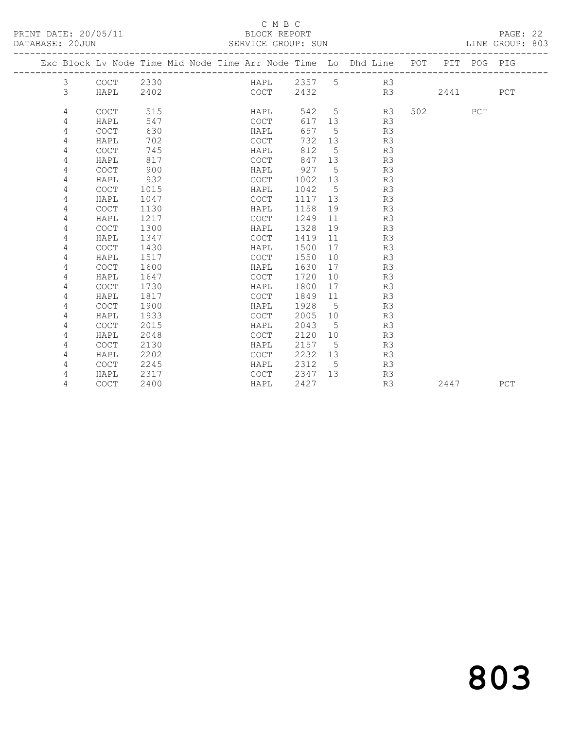#### C M B C<br>BLOCK REPORT

SERVICE GROUP: SUN

|  |   |                                            |      |  |                                            |        |     | Exc Block Lv Node Time Mid Node Time Arr Node Time Lo Dhd Line POT |     |      | PIT POG PIG |     |
|--|---|--------------------------------------------|------|--|--------------------------------------------|--------|-----|--------------------------------------------------------------------|-----|------|-------------|-----|
|  | 3 | <b>COCT</b>                                | 2330 |  | HAPL                                       | 2357 5 |     | R3                                                                 |     |      |             |     |
|  | 3 | HAPL                                       | 2402 |  | COCT                                       | 2432   |     | R3                                                                 |     | 2441 |             | PCT |
|  | 4 | COCT                                       | 515  |  | HAPL                                       | 542    | 5   | R3                                                                 | 502 |      | PCT         |     |
|  | 4 | HAPL                                       | 547  |  | COCT                                       | 617    | 13  | R3                                                                 |     |      |             |     |
|  | 4 | $\mathtt{C}\mathtt{O}\mathtt{C}\mathtt{T}$ | 630  |  | HAPL                                       | 657    | 5   | R3                                                                 |     |      |             |     |
|  | 4 | HAPL                                       | 702  |  | <b>COCT</b>                                | 732    | 13  | R3                                                                 |     |      |             |     |
|  | 4 | <b>COCT</b>                                | 745  |  | HAPL                                       | 812    | 5   | R3                                                                 |     |      |             |     |
|  | 4 | HAPL                                       | 817  |  | <b>COCT</b>                                | 847    | 13  | R3                                                                 |     |      |             |     |
|  | 4 | COCT                                       | 900  |  | HAPL                                       | 927    | 5   | R3                                                                 |     |      |             |     |
|  | 4 | HAPL                                       | 932  |  | <b>COCT</b>                                | 1002   | 13  | R3                                                                 |     |      |             |     |
|  | 4 | COCT                                       | 1015 |  | HAPL                                       | 1042   | 5   | R3                                                                 |     |      |             |     |
|  | 4 | HAPL                                       | 1047 |  | COCT                                       | 1117   | 13  | R3                                                                 |     |      |             |     |
|  | 4 | <b>COCT</b>                                | 1130 |  | HAPL                                       | 1158   | 19  | R3                                                                 |     |      |             |     |
|  | 4 | HAPL                                       | 1217 |  | <b>COCT</b>                                | 1249   | 11  | R3                                                                 |     |      |             |     |
|  | 4 | COCT                                       | 1300 |  | HAPL                                       | 1328   | 19  | R3                                                                 |     |      |             |     |
|  | 4 | HAPL                                       | 1347 |  | $\mathtt{C}\mathtt{O}\mathtt{C}\mathtt{T}$ | 1419   | 11  | R3                                                                 |     |      |             |     |
|  | 4 | <b>COCT</b>                                | 1430 |  | HAPL                                       | 1500   | 17  | R3                                                                 |     |      |             |     |
|  | 4 | HAPL                                       | 1517 |  | COCT                                       | 1550   | 10  | R3                                                                 |     |      |             |     |
|  | 4 | COCT                                       | 1600 |  | HAPL                                       | 1630   | 17  | R3                                                                 |     |      |             |     |
|  | 4 | HAPL                                       | 1647 |  | <b>COCT</b>                                | 1720   | 10  | R3                                                                 |     |      |             |     |
|  | 4 | <b>COCT</b>                                | 1730 |  | HAPL                                       | 1800   | 17  | R3                                                                 |     |      |             |     |
|  | 4 | HAPL                                       | 1817 |  | <b>COCT</b>                                | 1849   | 11  | R3                                                                 |     |      |             |     |
|  | 4 | COCT                                       | 1900 |  | HAPL                                       | 1928   | - 5 | R3                                                                 |     |      |             |     |
|  | 4 | HAPL                                       | 1933 |  | <b>COCT</b>                                | 2005   | 10  | R3                                                                 |     |      |             |     |
|  | 4 | COCT                                       | 2015 |  | HAPL                                       | 2043   | 5   | R3                                                                 |     |      |             |     |
|  | 4 | HAPL                                       | 2048 |  | COCT                                       | 2120   | 10  | R3                                                                 |     |      |             |     |
|  | 4 | <b>COCT</b>                                | 2130 |  | HAPL                                       | 2157   | 5   | R3                                                                 |     |      |             |     |
|  | 4 | HAPL                                       | 2202 |  | <b>COCT</b>                                | 2232   | 13  | R3                                                                 |     |      |             |     |
|  | 4 | <b>COCT</b>                                | 2245 |  | HAPL                                       | 2312   | - 5 | R3                                                                 |     |      |             |     |
|  | 4 | HAPL                                       | 2317 |  | COCT                                       | 2347   | 13  | R3                                                                 |     |      |             |     |
|  | 4 | <b>COCT</b>                                | 2400 |  | HAPL                                       | 2427   |     | R3                                                                 |     | 2447 |             | PCT |